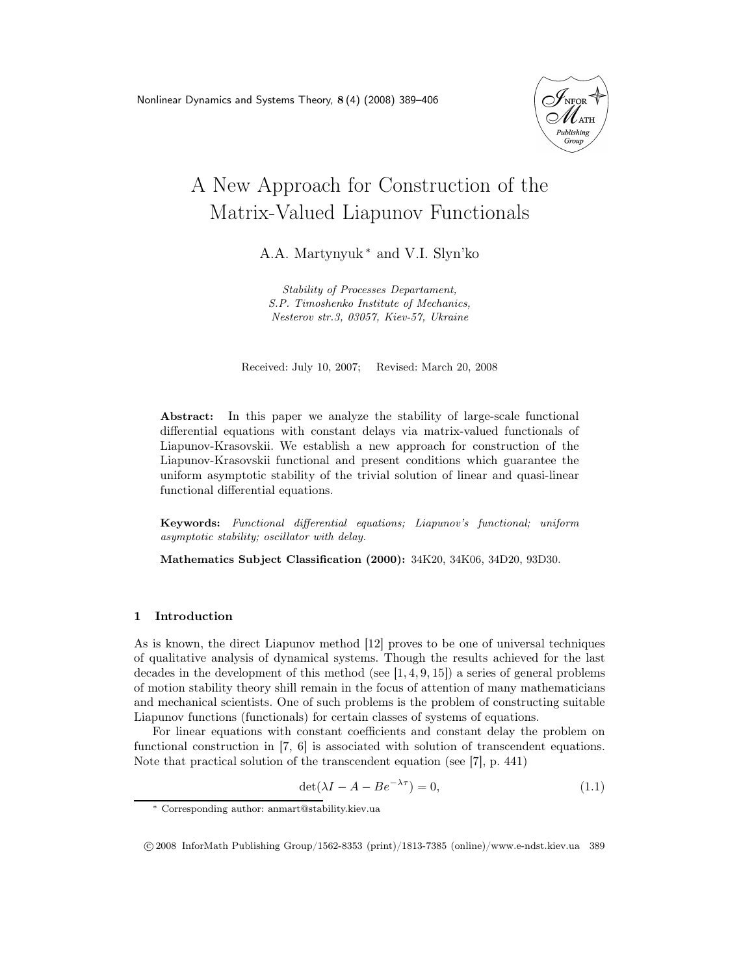

# A New Approach for Construction of the Matrix-Valued Liapunov Functionals

A.A. Martynyuk <sup>∗</sup> and V.I. Slyn'ko

Stability of Processes Departament, S.P. Timoshenko Institute of Mechanics, Nesterov str.3, 03057, Kiev-57, Ukraine

Received: July 10, 2007; Revised: March 20, 2008

Abstract: In this paper we analyze the stability of large-scale functional differential equations with constant delays via matrix-valued functionals of Liapunov-Krasovskii. We establish a new approach for construction of the Liapunov-Krasovskii functional and present conditions which guarantee the uniform asymptotic stability of the trivial solution of linear and quasi-linear functional differential equations.

Keywords: Functional differential equations; Liapunov's functional; uniform asymptotic stability; oscillator with delay.

Mathematics Subject Classification (2000): 34K20, 34K06, 34D20, 93D30.

### 1 Introduction

As is known, the direct Liapunov method [12] proves to be one of universal techniques of qualitative analysis of dynamical systems. Though the results achieved for the last decades in the development of this method (see  $[1, 4, 9, 15]$ ) a series of general problems of motion stability theory shill remain in the focus of attention of many mathematicians and mechanical scientists. One of such problems is the problem of constructing suitable Liapunov functions (functionals) for certain classes of systems of equations.

For linear equations with constant coefficients and constant delay the problem on functional construction in [7, 6] is associated with solution of transcendent equations. Note that practical solution of the transcendent equation (see [7], p. 441)

$$
\det(\lambda I - A - Be^{-\lambda \tau}) = 0,\tag{1.1}
$$

<sup>∗</sup> Corresponding author: anmart@stability.kiev.ua

c 2008 InforMath Publishing Group/1562-8353 (print)/1813-7385 (online)/www.e-ndst.kiev.ua 389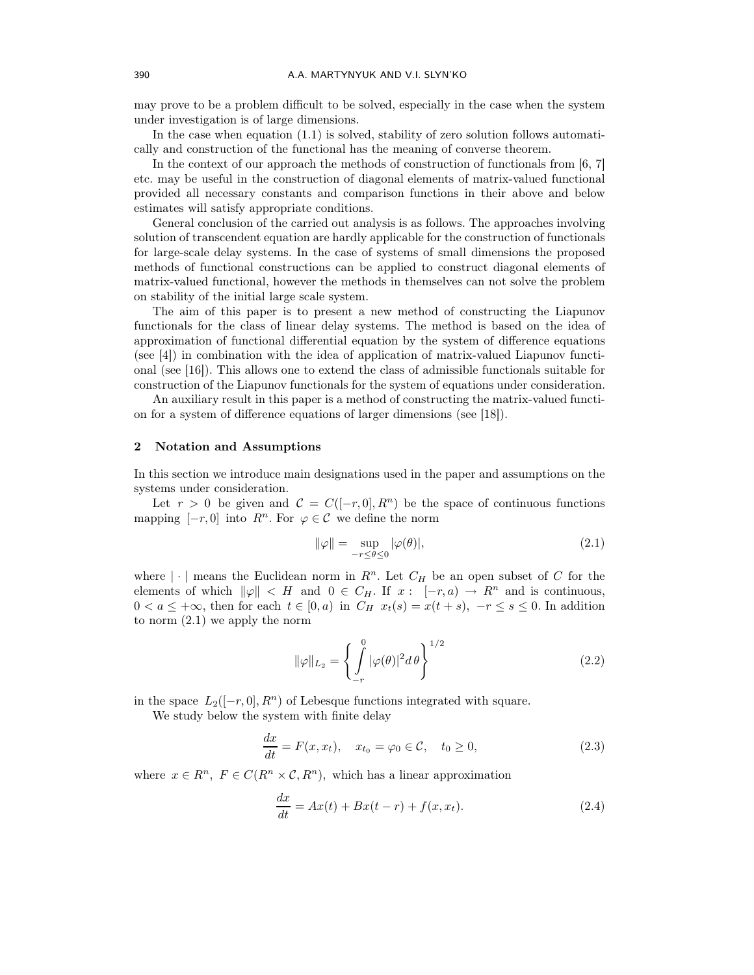may prove to be a problem difficult to be solved, especially in the case when the system under investigation is of large dimensions.

In the case when equation (1.1) is solved, stability of zero solution follows automatically and construction of the functional has the meaning of converse theorem.

In the context of our approach the methods of construction of functionals from [6, 7] etc. may be useful in the construction of diagonal elements of matrix-valued functional provided all necessary constants and comparison functions in their above and below estimates will satisfy appropriate conditions.

General conclusion of the carried out analysis is as follows. The approaches involving solution of transcendent equation are hardly applicable for the construction of functionals for large-scale delay systems. In the case of systems of small dimensions the proposed methods of functional constructions can be applied to construct diagonal elements of matrix-valued functional, however the methods in themselves can not solve the problem on stability of the initial large scale system.

The aim of this paper is to present a new method of constructing the Liapunov functionals for the class of linear delay systems. The method is based on the idea of approximation of functional differential equation by the system of difference equations (see [4]) in combination with the idea of application of matrix-valued Liapunov functional (see [16]). This allows one to extend the class of admissible functionals suitable for construction of the Liapunov functionals for the system of equations under consideration.

An auxiliary result in this paper is a method of constructing the matrix-valued function for a system of difference equations of larger dimensions (see [18]).

### 2 Notation and Assumptions

In this section we introduce main designations used in the paper and assumptions on the systems under consideration.

Let  $r > 0$  be given and  $\mathcal{C} = C([-r, 0], R^n)$  be the space of continuous functions mapping  $[-r, 0]$  into  $R^n$ . For  $\varphi \in \mathcal{C}$  we define the norm

$$
\|\varphi\| = \sup_{-r \le \theta \le 0} |\varphi(\theta)|,\tag{2.1}
$$

where  $|\cdot|$  means the Euclidean norm in  $R^n$ . Let  $C_H$  be an open subset of C for the elements of which  $\|\varphi\| < H$  and  $0 \in C_H$ . If  $x : [-r, a) \to R^n$  and is continuous,  $0 < a \leq +\infty$ , then for each  $t \in [0, a)$  in  $C_H$   $x_t(s) = x(t + s)$ ,  $-r \leq s \leq 0$ . In addition to norm (2.1) we apply the norm

$$
\|\varphi\|_{L_2} = \left\{ \int_{-r}^{0} |\varphi(\theta)|^2 d\theta \right\}^{1/2}
$$
 (2.2)

in the space  $L_2([-r, 0], R^n)$  of Lebesque functions integrated with square.

We study below the system with finite delay

$$
\frac{dx}{dt} = F(x, x_t), \quad x_{t_0} = \varphi_0 \in \mathcal{C}, \quad t_0 \ge 0,
$$
\n(2.3)

where  $x \in R^n$ ,  $F \in C(R^n \times \mathcal{C}, R^n)$ , which has a linear approximation

$$
\frac{dx}{dt} = Ax(t) + Bx(t - r) + f(x, x_t).
$$
 (2.4)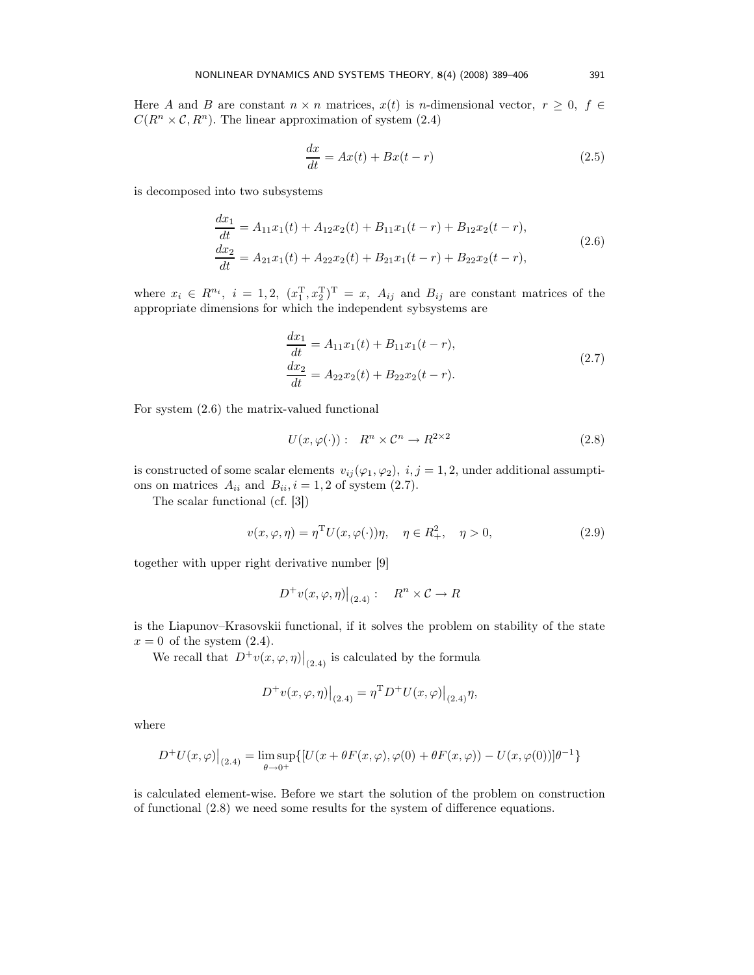Here A and B are constant  $n \times n$  matrices,  $x(t)$  is n-dimensional vector,  $r \geq 0$ ,  $f \in$  $C(R^n \times \mathcal{C}, R^n)$ . The linear approximation of system (2.4)

$$
\frac{dx}{dt} = Ax(t) + Bx(t - r)
$$
\n(2.5)

is decomposed into two subsystems

$$
\begin{aligned} \frac{dx_1}{dt} &= A_{11}x_1(t) + A_{12}x_2(t) + B_{11}x_1(t-r) + B_{12}x_2(t-r),\\ \frac{dx_2}{dt} &= A_{21}x_1(t) + A_{22}x_2(t) + B_{21}x_1(t-r) + B_{22}x_2(t-r), \end{aligned} \tag{2.6}
$$

where  $x_i \in R^{n_i}$ ,  $i = 1, 2, (x_1^{\mathrm{T}}, x_2^{\mathrm{T}})^{\mathrm{T}} = x$ ,  $A_{ij}$  and  $B_{ij}$  are constant matrices of the appropriate dimensions for which the independent sybsystems are

$$
\begin{aligned} \frac{dx_1}{dt} &= A_{11}x_1(t) + B_{11}x_1(t-r),\\ \frac{dx_2}{dt} &= A_{22}x_2(t) + B_{22}x_2(t-r). \end{aligned} \tag{2.7}
$$

For system (2.6) the matrix-valued functional

$$
U(x,\varphi(\cdot))\,\colon\ R^n \times \mathcal{C}^n \to R^{2 \times 2} \tag{2.8}
$$

is constructed of some scalar elements  $v_{ij}(\varphi_1, \varphi_2), i, j = 1, 2$ , under additional assumptions on matrices  $A_{ii}$  and  $B_{ii}$ ,  $i = 1, 2$  of system (2.7).

The scalar functional (cf. [3])

$$
v(x,\varphi,\eta) = \eta^{\mathrm{T}} U(x,\varphi(\cdot))\eta, \quad \eta \in R_+^2, \quad \eta > 0,
$$
\n(2.9)

together with upper right derivative number [9]

$$
D^+v(x,\varphi,\eta)\big|_{(2.4)}:\quad R^n\times\mathcal{C}\to R
$$

is the Liapunov–Krasovskii functional, if it solves the problem on stability of the state  $x = 0$  of the system  $(2.4)$ .

We recall that  $D^+v(x,\varphi,\eta)|_{(2.4)}$  is calculated by the formula

$$
D^{+}v(x,\varphi,\eta)\big|_{(2.4)} = \eta^{\mathrm{T}}D^{+}U(x,\varphi)\big|_{(2.4)}\eta,
$$

where

$$
D^{+}U(x,\varphi)\big|_{(2.4)}=\limsup_{\theta\to 0^+}\{[U(x+\theta F(x,\varphi),\varphi(0)+\theta F(x,\varphi))-U(x,\varphi(0))]\theta^{-1}\}
$$

is calculated element-wise. Before we start the solution of the problem on construction of functional (2.8) we need some results for the system of difference equations.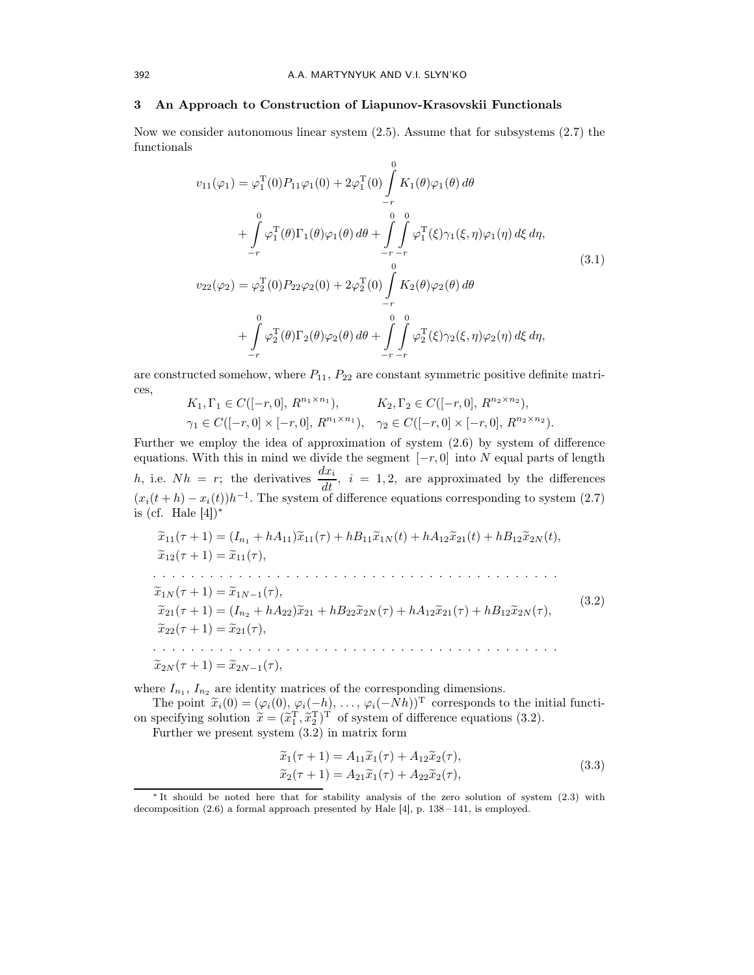### 3 An Approach to Construction of Liapunov-Krasovskii Functionals

Now we consider autonomous linear system (2.5). Assume that for subsystems (2.7) the functionals

$$
v_{11}(\varphi_1) = \varphi_1^{\mathrm{T}}(0)P_{11}\varphi_1(0) + 2\varphi_1^{\mathrm{T}}(0)\int_{-r}^{0} K_1(\theta)\varphi_1(\theta) d\theta + \int_{-r}^{0} \varphi_1^{\mathrm{T}}(\theta)\Gamma_1(\theta)\varphi_1(\theta) d\theta + \int_{-r}^{0} \int_{-r}^{0} \varphi_1^{\mathrm{T}}(\xi)\gamma_1(\xi,\eta)\varphi_1(\eta) d\xi d\eta, v_{22}(\varphi_2) = \varphi_2^{\mathrm{T}}(0)P_{22}\varphi_2(0) + 2\varphi_2^{\mathrm{T}}(0)\int_{-r}^{0} K_2(\theta)\varphi_2(\theta) d\theta + \int_{-r}^{0} \varphi_2^{\mathrm{T}}(\theta)\Gamma_2(\theta)\varphi_2(\theta) d\theta + \int_{-r}^{0} \int_{-r}^{0} \varphi_2^{\mathrm{T}}(\xi)\gamma_2(\xi,\eta)\varphi_2(\eta) d\xi d\eta,
$$
\n(3.1)

are constructed somehow, where  $P_{11}$ ,  $P_{22}$  are constant symmetric positive definite matrices,

$$
K_1, \Gamma_1 \in C([-r, 0], R^{n_1 \times n_1}), \qquad K_2, \Gamma_2 \in C([-r, 0], R^{n_2 \times n_2}),
$$
  

$$
\gamma_1 \in C([-r, 0] \times [-r, 0], R^{n_1 \times n_1}), \quad \gamma_2 \in C([-r, 0] \times [-r, 0], R^{n_2 \times n_2}).
$$

Further we employ the idea of approximation of system (2.6) by system of difference equations. With this in mind we divide the segment  $[-r, 0]$  into N equal parts of length h, i.e.  $Nh = r$ ; the derivatives  $\frac{dx_i}{dt}$ ,  $i = 1, 2$ , are approximated by the differences  $(x_i(t+h) - x_i(t))h^{-1}$ . The system of difference equations corresponding to system (2.7) is (cf. Hale  $[4]$ )\*

<sup>x</sup>e<sup>11</sup>(<sup>τ</sup> + 1) = (In<sup>1</sup> <sup>+</sup> hA11)xe<sup>11</sup>(τ) + hB11xe1<sup>N</sup> (t) + hA12xe<sup>21</sup>(t) + hB12xe2<sup>N</sup> (t), <sup>x</sup>e<sup>12</sup>(<sup>τ</sup> + 1) = <sup>x</sup>e<sup>11</sup>(τ), . . . . . . . . . . . . . . . . . . . . . . . . . . . . . . . . . . . . . . . . . . . <sup>x</sup>e1<sup>N</sup> (<sup>τ</sup> + 1) = <sup>x</sup>e1N−1(τ), <sup>x</sup>e<sup>21</sup>(<sup>τ</sup> + 1) = (In<sup>2</sup> <sup>+</sup> hA22)xe<sup>21</sup> <sup>+</sup> hB22xe2<sup>N</sup> (τ) + hA12xe<sup>21</sup>(τ) + hB12xe2<sup>N</sup> (τ), <sup>x</sup>e<sup>22</sup>(<sup>τ</sup> + 1) = <sup>x</sup>e<sup>21</sup>(τ), . . . . . . . . . . . . . . . . . . . . . . . . . . . . . . . . . . . . . . . . . . . <sup>x</sup>e<sup>2</sup><sup>N</sup> (<sup>τ</sup> + 1) = <sup>x</sup>e<sup>2</sup>N−1(τ), (3.2)

where  $I_{n_1}, I_{n_2}$  are identity matrices of the corresponding dimensions.

The point  $\widetilde{x}_i(0) = (\varphi_i(0), \varphi_i(-h), \dots, \varphi_i(-Nh))^{\mathrm{T}}$  corresponds to the initial functi-<br>resisting solution  $\widetilde{x}_i$  ( $\widetilde{z}^{\mathrm{T}}$   $\widetilde{z}^{\mathrm{T}}$ )T of entire of difference experience (2.2) on specifying solution  $\tilde{x} = (\tilde{x}_1^T, \tilde{x}_2^T)^T$  of system of difference equations (3.2).

Further we present system (3.2) in matrix form

$$
\widetilde{x}_1(\tau + 1) = A_{11}\widetilde{x}_1(\tau) + A_{12}\widetilde{x}_2(\tau), \n\widetilde{x}_2(\tau + 1) = A_{21}\widetilde{x}_1(\tau) + A_{22}\widetilde{x}_2(\tau),
$$
\n(3.3)

<sup>∗</sup> It should be noted here that for stability analysis of the zero solution of system (2.3) with decomposition  $(2.6)$  a formal approach presented by Hale  $[4]$ , p.  $138-141$ , is employed.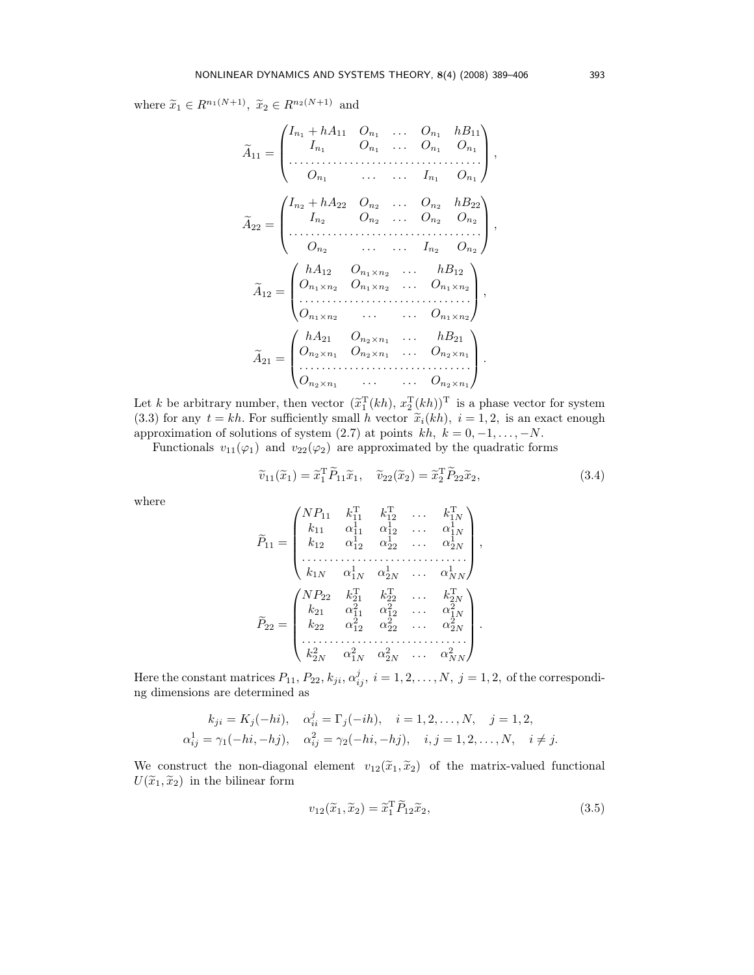where  $\widetilde{x}_1 \in R^{n_1(N+1)}$ ,  $\widetilde{x}_2 \in R^{n_2(N+1)}$  and

$$
\tilde{A}_{11} = \begin{pmatrix}\nI_{n_1} + hA_{11} & O_{n_1} & \dots & O_{n_1} & hB_{11} \\
I_{n_1} & O_{n_1} & \dots & O_{n_1} & O_{n_1} \\
\vdots & \vdots & \ddots & \vdots & \vdots \\
O_{n_1} & \dots & \dots & I_{n_1} & O_{n_1}\n\end{pmatrix},
$$
\n
$$
\tilde{A}_{22} = \begin{pmatrix}\nI_{n_2} + hA_{22} & O_{n_2} & \dots & O_{n_2} & hB_{22} \\
I_{n_2} & O_{n_2} & \dots & O_{n_2} & O_{n_2} \\
\vdots & \vdots & \ddots & \vdots & \vdots \\
O_{n_2} & \dots & \dots & I_{n_2} & O_{n_2}\n\end{pmatrix},
$$
\n
$$
\tilde{A}_{12} = \begin{pmatrix}\nhA_{12} & O_{n_1 \times n_2} & \dots & hB_{12} \\
O_{n_1 \times n_2} & O_{n_1 \times n_2} & \dots & O_{n_1 \times n_2} \\
\vdots & \vdots & \ddots & \vdots & \vdots \\
O_{n_1 \times n_2} & \dots & \dots & O_{n_1 \times n_2}\n\end{pmatrix},
$$
\n
$$
\tilde{A}_{21} = \begin{pmatrix}\nhA_{21} & O_{n_2 \times n_1} & \dots & hB_{21} \\
O_{n_2 \times n_1} & O_{n_2 \times n_1} & \dots & O_{n_2 \times n_1} \\
\vdots & \vdots & \vdots & \ddots & \vdots \\
O_{n_2 \times n_1} & \dots & \dots & O_{n_2 \times n_1}\n\end{pmatrix}.
$$

Let k be arbitrary number, then vector  $(\tilde{x}_1^T(kh), x_2^T(kh))^T$  is a phase vector for system (3.3) for any  $t = kh$ . For sufficiently small h vector  $\tilde{x}_i(kh)$ ,  $i = 1, 2$ , is an exact enough approximation of solutions of system (2.7) at points  $kh, k = 0, -1, \ldots, -N$ .

Functionals  $v_{11}(\varphi_1)$  and  $v_{22}(\varphi_2)$  are approximated by the quadratic forms

$$
\widetilde{v}_{11}(\widetilde{x}_1) = \widetilde{x}_1^T \widetilde{P}_{11} \widetilde{x}_1, \quad \widetilde{v}_{22}(\widetilde{x}_2) = \widetilde{x}_2^T \widetilde{P}_{22} \widetilde{x}_2,\tag{3.4}
$$

where

$$
\widetilde{P}_{11} = \begin{pmatrix}\nNP_{11} & k_{11}^{\mathrm{T}} & k_{12}^{\mathrm{T}} & \dots & k_{1N}^{\mathrm{T}} \\
k_{11} & \alpha_{11}^{\mathrm{T}} & \alpha_{12}^{\mathrm{T}} & \dots & \alpha_{1N}^{\mathrm{T}} \\
k_{12} & \alpha_{12}^{\mathrm{T}} & \alpha_{22}^{\mathrm{T}} & \dots & \alpha_{2N}^{\mathrm{T}} \\
\vdots & \vdots & \vdots & \ddots & \vdots \\
k_{1N} & \alpha_{1N}^{\mathrm{T}} & \alpha_{2N}^{\mathrm{T}} & \dots & \alpha_{NN}^{\mathrm{T}}\n\end{pmatrix},
$$
\n
$$
\widetilde{P}_{22} = \begin{pmatrix}\nNP_{22} & k_{21}^{\mathrm{T}} & k_{22}^{\mathrm{T}} & \dots & k_{2N}^{\mathrm{T}} \\
k_{21} & \alpha_{11}^{\mathrm{T}} & \alpha_{12}^{\mathrm{T}} & \dots & \alpha_{1N}^{\mathrm{T}} \\
k_{22} & \alpha_{12}^{\mathrm{T}} & \alpha_{22}^{\mathrm{T}} & \dots & \alpha_{2N}^{\mathrm{2}} \\
\vdots & \vdots & \vdots & \ddots & \vdots \\
k_{2N}^{\mathrm{2}} & \alpha_{1N}^{\mathrm{T}} & \alpha_{2N}^{\mathrm{2}} & \dots & \alpha_{NN}^{\mathrm{2}}\n\end{pmatrix}.
$$

Here the constant matrices  $P_{11}$ ,  $P_{22}$ ,  $k_{ji}$ ,  $\alpha_{ij}^j$ ,  $i = 1, 2, ..., N$ ,  $j = 1, 2$ , of the corresponding dimensions are determined as

$$
k_{ji} = K_j(-hi), \quad \alpha_{ii}^j = \Gamma_j(-ih), \quad i = 1, 2, ..., N, \quad j = 1, 2, \n\alpha_{ij}^1 = \gamma_1(-hi, -hj), \quad \alpha_{ij}^2 = \gamma_2(-hi, -hj), \quad i, j = 1, 2, ..., N, \quad i \neq j.
$$

We construct the non-diagonal element  $v_{12}(\tilde{x}_1, \tilde{x}_2)$  of the matrix-valued functional  $U(\widetilde{x}_1, \widetilde{x}_2)$  in the bilinear form

$$
v_{12}(\widetilde{x}_1, \widetilde{x}_2) = \widetilde{x}_1^{\mathrm{T}} \widetilde{P}_{12} \widetilde{x}_2, \tag{3.5}
$$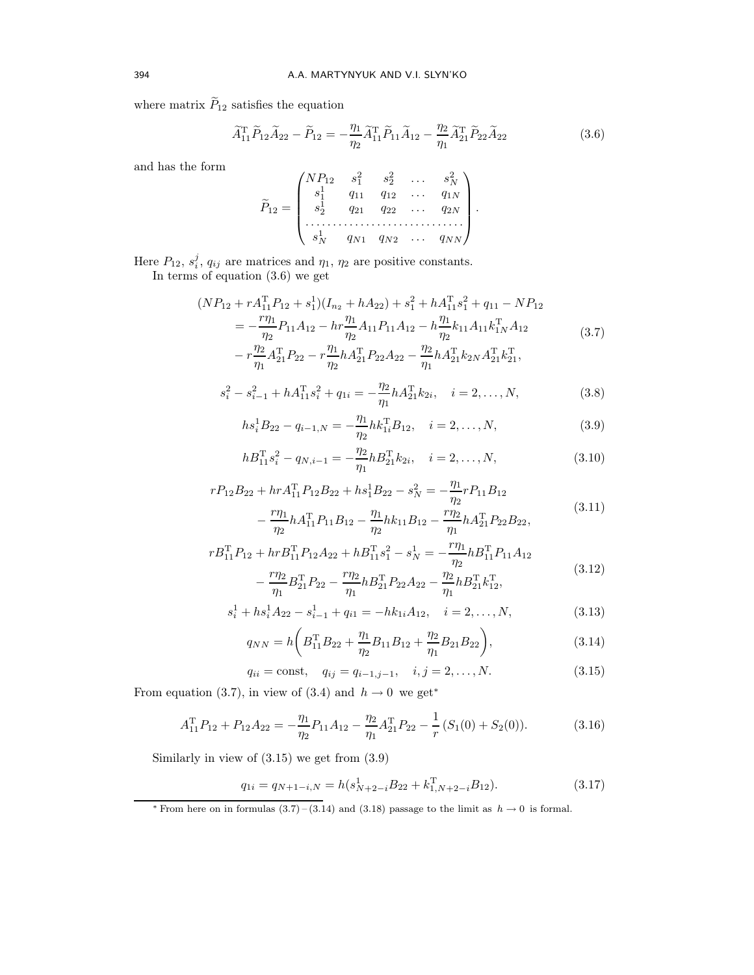where matrix  $\widetilde{P}_{12}$  satisfies the equation

$$
\widetilde{A}_{11}^{\mathrm{T}} \widetilde{P}_{12} \widetilde{A}_{22} - \widetilde{P}_{12} = -\frac{\eta_1}{\eta_2} \widetilde{A}_{11}^{\mathrm{T}} \widetilde{P}_{11} \widetilde{A}_{12} - \frac{\eta_2}{\eta_1} \widetilde{A}_{21}^{\mathrm{T}} \widetilde{P}_{22} \widetilde{A}_{22}
$$
\n(3.6)

and has the form

$$
\widetilde{P}_{12} = \begin{pmatrix}\nNP_{12} & s_1^2 & s_2^2 & \dots & s_N^2 \\
s_1^1 & q_{11} & q_{12} & \dots & q_{1N} \\
s_2^1 & q_{21} & q_{22} & \dots & q_{2N} \\
\vdots & \vdots & \vdots & \ddots & \vdots \\
s_N^1 & q_{N1} & q_{N2} & \dots & q_{NN}\n\end{pmatrix}.
$$

Here  $P_{12}$ ,  $s_i^j$ ,  $q_{ij}$  are matrices and  $\eta_1$ ,  $\eta_2$  are positive constants.

In terms of equation (3.6) we get

$$
(NP_{12} + rA_{11}^{T}P_{12} + s_{1}^{1})(I_{n_{2}} + hA_{22}) + s_{1}^{2} + hA_{11}^{T}s_{1}^{2} + q_{11} - NP_{12}
$$
  
= 
$$
-\frac{r\eta_{1}}{\eta_{2}}P_{11}A_{12} - hr\frac{\eta_{1}}{\eta_{2}}A_{11}P_{11}A_{12} - h\frac{\eta_{1}}{\eta_{2}}k_{11}A_{11}k_{1N}^{T}A_{12}
$$

$$
- r\frac{\eta_{2}}{\eta_{1}}A_{21}^{T}P_{22} - r\frac{\eta_{1}}{\eta_{2}}hA_{21}^{T}P_{22}A_{22} - \frac{\eta_{2}}{\eta_{1}}hA_{21}^{T}k_{2N}A_{21}^{T}k_{21}^{T},
$$
(3.7)

$$
s_i^2 - s_{i-1}^2 + hA_{11}^T s_i^2 + q_{1i} = -\frac{\eta_2}{\eta_1} hA_{21}^T k_{2i}, \quad i = 2, \dots, N,
$$
 (3.8)

$$
hs_i^1 B_{22} - q_{i-1,N} = -\frac{\eta_1}{\eta_2} h k_{1i}^{\mathrm{T}} B_{12}, \quad i = 2, \dots, N,
$$
\n(3.9)

$$
hB_{11}^{T}s_i^2 - q_{N,i-1} = -\frac{\eta_2}{\eta_1} hB_{21}^{T}k_{2i}, \quad i = 2, \dots, N,
$$
\n(3.10)

$$
rP_{12}B_{22} + hrA_{11}^{T}P_{12}B_{22} + hs_{1}^{T}B_{22} - s_{N}^{2} = -\frac{\eta_{1}}{\eta_{2}}rP_{11}B_{12}
$$

$$
-\frac{r\eta_{1}}{\eta_{2}}hA_{11}^{T}P_{11}B_{12} - \frac{\eta_{1}}{\eta_{2}}hk_{11}B_{12} - \frac{r\eta_{2}}{\eta_{1}}hA_{21}^{T}P_{22}B_{22},
$$
(3.11)

$$
rB_{11}^{T}P_{12} + hrB_{11}^{T}P_{12}A_{22} + hB_{11}^{T}s_{1}^{2} - s_{N}^{1} = -\frac{r\eta_{1}}{\eta_{2}}hB_{11}^{T}P_{11}A_{12}
$$

$$
-\frac{r\eta_{2}}{\eta_{1}}B_{21}^{T}P_{22} - \frac{r\eta_{2}}{\eta_{1}}hB_{21}^{T}P_{22}A_{22} - \frac{\eta_{2}}{\eta_{1}}hB_{21}^{T}k_{12}^{T},
$$
(3.12)

$$
s_i^1 + h s_i^1 A_{22} - s_{i-1}^1 + q_{i1} = -h k_{1i} A_{12}, \quad i = 2, ..., N,
$$
 (3.13)

$$
q_{NN} = h \left( B_{11}^{\mathrm{T}} B_{22} + \frac{\eta_1}{\eta_2} B_{11} B_{12} + \frac{\eta_2}{\eta_1} B_{21} B_{22} \right), \tag{3.14}
$$

$$
q_{ii} = \text{const}, \quad q_{ij} = q_{i-1,j-1}, \quad i, j = 2, \dots, N. \tag{3.15}
$$

From equation (3.7), in view of (3.4) and  $h \to 0$  we get<sup>\*</sup>

$$
A_{11}^{\mathrm{T}}P_{12} + P_{12}A_{22} = -\frac{\eta_1}{\eta_2}P_{11}A_{12} - \frac{\eta_2}{\eta_1}A_{21}^{\mathrm{T}}P_{22} - \frac{1}{r}(S_1(0) + S_2(0)).
$$
 (3.16)

Similarly in view of (3.15) we get from (3.9)

$$
q_{1i} = q_{N+1-i,N} = h(s_{N+2-i}^{1}B_{22} + k_{1,N+2-i}^{T}B_{12}).
$$
\n(3.17)

<sup>\*</sup> From here on in formulas  $(3.7)$  –  $(3.14)$  and  $(3.18)$  passage to the limit as  $h \to 0$  is formal.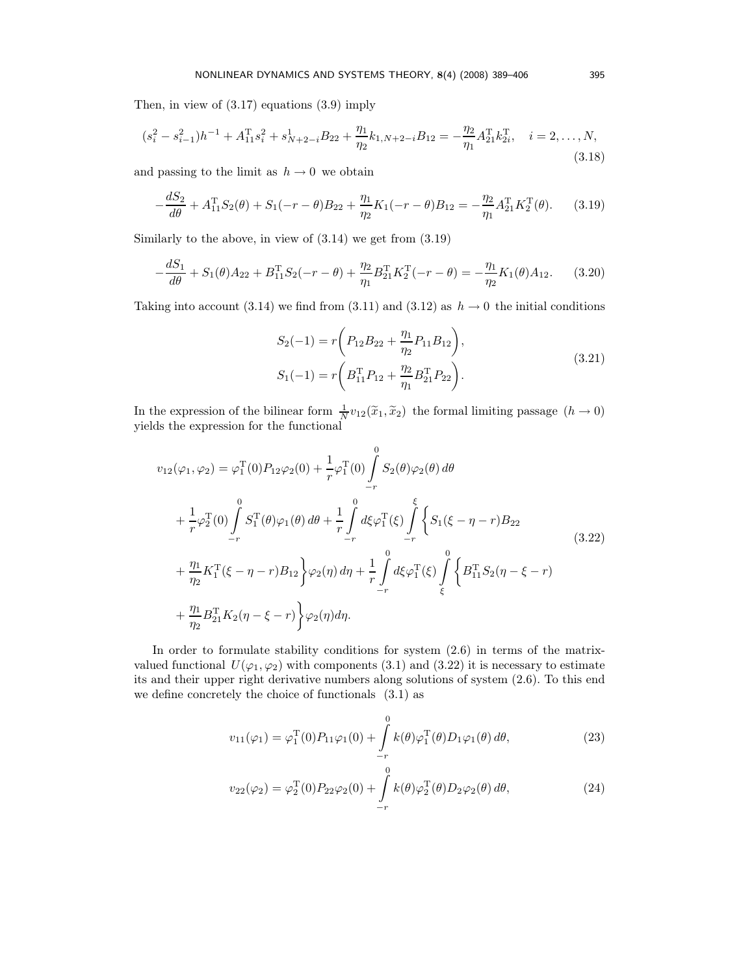Then, in view of (3.17) equations (3.9) imply

$$
(s_i^2 - s_{i-1}^2)h^{-1} + A_{11}^{\mathrm{T}}s_i^2 + s_{N+2-i}^1 B_{22} + \frac{\eta_1}{\eta_2}k_{1,N+2-i}B_{12} = -\frac{\eta_2}{\eta_1}A_{21}^{\mathrm{T}}k_{2i}^{\mathrm{T}}, \quad i = 2, \dots, N,
$$
\n(3.18)

and passing to the limit as  $h \to 0$  we obtain

$$
-\frac{dS_2}{d\theta} + A_{11}^{\mathrm{T}}S_2(\theta) + S_1(-r - \theta)B_{22} + \frac{\eta_1}{\eta_2}K_1(-r - \theta)B_{12} = -\frac{\eta_2}{\eta_1}A_{21}^{\mathrm{T}}K_2^{\mathrm{T}}(\theta).
$$
 (3.19)

Similarly to the above, in view of (3.14) we get from (3.19)

$$
-\frac{dS_1}{d\theta} + S_1(\theta)A_{22} + B_{11}^{\mathrm{T}}S_2(-r - \theta) + \frac{\eta_2}{\eta_1}B_{21}^{\mathrm{T}}K_2^{\mathrm{T}}(-r - \theta) = -\frac{\eta_1}{\eta_2}K_1(\theta)A_{12}.
$$
 (3.20)

Taking into account (3.14) we find from (3.11) and (3.12) as  $h \to 0$  the initial conditions

$$
S_2(-1) = r \left( P_{12} B_{22} + \frac{\eta_1}{\eta_2} P_{11} B_{12} \right),
$$
  
\n
$$
S_1(-1) = r \left( B_{11}^{\mathrm{T}} P_{12} + \frac{\eta_2}{\eta_1} B_{21}^{\mathrm{T}} P_{22} \right).
$$
\n(3.21)

In the expression of the bilinear form  $\frac{1}{N}v_{12}(\tilde{x}_1, \tilde{x}_2)$  the formal limiting passage  $(h \to 0)$ yields the expression for the functional

$$
v_{12}(\varphi_1, \varphi_2) = \varphi_1^{\mathrm{T}}(0) P_{12} \varphi_2(0) + \frac{1}{r} \varphi_1^{\mathrm{T}}(0) \int_{-r}^{0} S_2(\theta) \varphi_2(\theta) d\theta + \frac{1}{r} \varphi_2^{\mathrm{T}}(0) \int_{-r}^{0} S_1^{\mathrm{T}}(\theta) \varphi_1(\theta) d\theta + \frac{1}{r} \int_{-r}^{0} d\xi \varphi_1^{\mathrm{T}}(\xi) \int_{-r}^{\xi} \left\{ S_1(\xi - \eta - r) B_{22} \right. + \frac{\eta_1}{\eta_2} K_1^{\mathrm{T}}(\xi - \eta - r) B_{12} \right\} \varphi_2(\eta) d\eta + \frac{1}{r} \int_{-r}^{0} d\xi \varphi_1^{\mathrm{T}}(\xi) \int_{\xi}^{0} \left\{ B_{11}^{\mathrm{T}} S_2(\eta - \xi - r) \right. + \frac{\eta_1}{\eta_2} B_{21}^{\mathrm{T}} K_2(\eta - \xi - r) \right\} \varphi_2(\eta) d\eta.
$$
 (3.22)

In order to formulate stability conditions for system  $(2.6)$  in terms of the matrixvalued functional  $U(\varphi_1, \varphi_2)$  with components (3.1) and (3.22) it is necessary to estimate its and their upper right derivative numbers along solutions of system (2.6). To this end we define concretely the choice of functionals (3.1) as

$$
v_{11}(\varphi_1) = \varphi_1^{\rm T}(0) P_{11}\varphi_1(0) + \int_{-r}^{0} k(\theta)\varphi_1^{\rm T}(\theta)D_1\varphi_1(\theta) d\theta,
$$
 (23)

$$
v_{22}(\varphi_2) = \varphi_2^{\mathrm{T}}(0) P_{22} \varphi_2(0) + \int_{-r}^{0} k(\theta) \varphi_2^{\mathrm{T}}(\theta) D_2 \varphi_2(\theta) d\theta,
$$
 (24)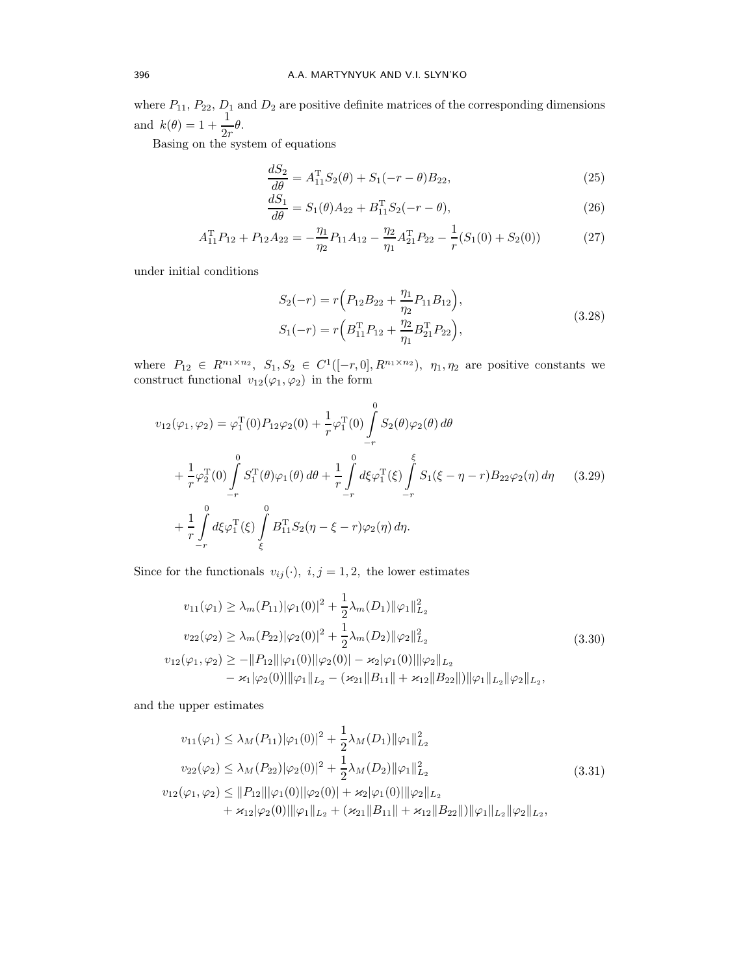where  $P_{11}$ ,  $P_{22}$ ,  $D_1$  and  $D_2$  are positive definite matrices of the corresponding dimensions and  $k(\theta) = 1 + \frac{1}{2r}\theta$ .

Basing on the system of equations

$$
\frac{dS_2}{d\theta} = A_{11}^{\mathrm{T}} S_2(\theta) + S_1(-r - \theta) B_{22},\tag{25}
$$

$$
\frac{dS_1}{d\theta} = S_1(\theta)A_{22} + B_{11}^{\mathrm{T}}S_2(-r - \theta),\tag{26}
$$

$$
A_{11}^{\mathrm{T}}P_{12} + P_{12}A_{22} = -\frac{\eta_1}{\eta_2}P_{11}A_{12} - \frac{\eta_2}{\eta_1}A_{21}^{\mathrm{T}}P_{22} - \frac{1}{r}(S_1(0) + S_2(0))
$$
(27)

under initial conditions

$$
S_2(-r) = r \left( P_{12} B_{22} + \frac{\eta_1}{\eta_2} P_{11} B_{12} \right),
$$
  
\n
$$
S_1(-r) = r \left( B_{11}^{\mathrm{T}} P_{12} + \frac{\eta_2}{\eta_1} B_{21}^{\mathrm{T}} P_{22} \right),
$$
\n(3.28)

where  $P_{12} \in R^{n_1 \times n_2}$ ,  $S_1, S_2 \in C^1([-r, 0], R^{n_1 \times n_2})$ ,  $\eta_1, \eta_2$  are positive constants we construct functional  $v_{12}(\varphi_1, \varphi_2)$  in the form

$$
v_{12}(\varphi_1, \varphi_2) = \varphi_1^{\mathrm{T}}(0) P_{12} \varphi_2(0) + \frac{1}{r} \varphi_1^{\mathrm{T}}(0) \int_{-r}^{0} S_2(\theta) \varphi_2(\theta) d\theta + \frac{1}{r} \varphi_2^{\mathrm{T}}(0) \int_{-r}^{0} S_1^{\mathrm{T}}(\theta) \varphi_1(\theta) d\theta + \frac{1}{r} \int_{-r}^{0} d\xi \varphi_1^{\mathrm{T}}(\xi) \int_{-r}^{\xi} S_1(\xi - \eta - r) B_{22} \varphi_2(\eta) d\eta \qquad (3.29)+ \frac{1}{r} \int_{-r}^{0} d\xi \varphi_1^{\mathrm{T}}(\xi) \int_{\xi}^{0} B_{11}^{\mathrm{T}} S_2(\eta - \xi - r) \varphi_2(\eta) d\eta.
$$

Since for the functionals  $v_{ij}(\cdot)$ ,  $i, j = 1, 2$ , the lower estimates

$$
v_{11}(\varphi_1) \ge \lambda_m(P_{11})|\varphi_1(0)|^2 + \frac{1}{2}\lambda_m(D_1)\|\varphi_1\|_{L_2}^2
$$
  
\n
$$
v_{22}(\varphi_2) \ge \lambda_m(P_{22})|\varphi_2(0)|^2 + \frac{1}{2}\lambda_m(D_2)\|\varphi_2\|_{L_2}^2
$$
  
\n
$$
v_{12}(\varphi_1, \varphi_2) \ge -\|P_{12}\||\varphi_1(0)||\varphi_2(0)| - \varkappa_2|\varphi_1(0)||\varphi_2\|_{L_2}
$$
  
\n
$$
- \varkappa_1|\varphi_2(0)||\varphi_1\|_{L_2} - (\varkappa_{21}||B_{11}|| + \varkappa_{12}||B_{22}||)||\varphi_1\|_{L_2}||\varphi_2\|_{L_2},
$$
\n(3.30)

and the upper estimates

$$
v_{11}(\varphi_1) \le \lambda_M(P_{11})|\varphi_1(0)|^2 + \frac{1}{2}\lambda_M(D_1)\|\varphi_1\|_{L_2}^2
$$
  
\n
$$
v_{22}(\varphi_2) \le \lambda_M(P_{22})|\varphi_2(0)|^2 + \frac{1}{2}\lambda_M(D_2)\|\varphi_1\|_{L_2}^2
$$
  
\n
$$
v_{12}(\varphi_1, \varphi_2) \le \|P_{12}\||\varphi_1(0)||\varphi_2(0)| + \varkappa_2|\varphi_1(0)||\varphi_2\|_{L_2}
$$
  
\n
$$
+ \varkappa_{12}|\varphi_2(0)||\varphi_1\|_{L_2} + (\varkappa_{21}\|B_{11}\| + \varkappa_{12}\|B_{22}\|)||\varphi_1\|_{L_2}\|\varphi_2\|_{L_2},
$$
\n(3.31)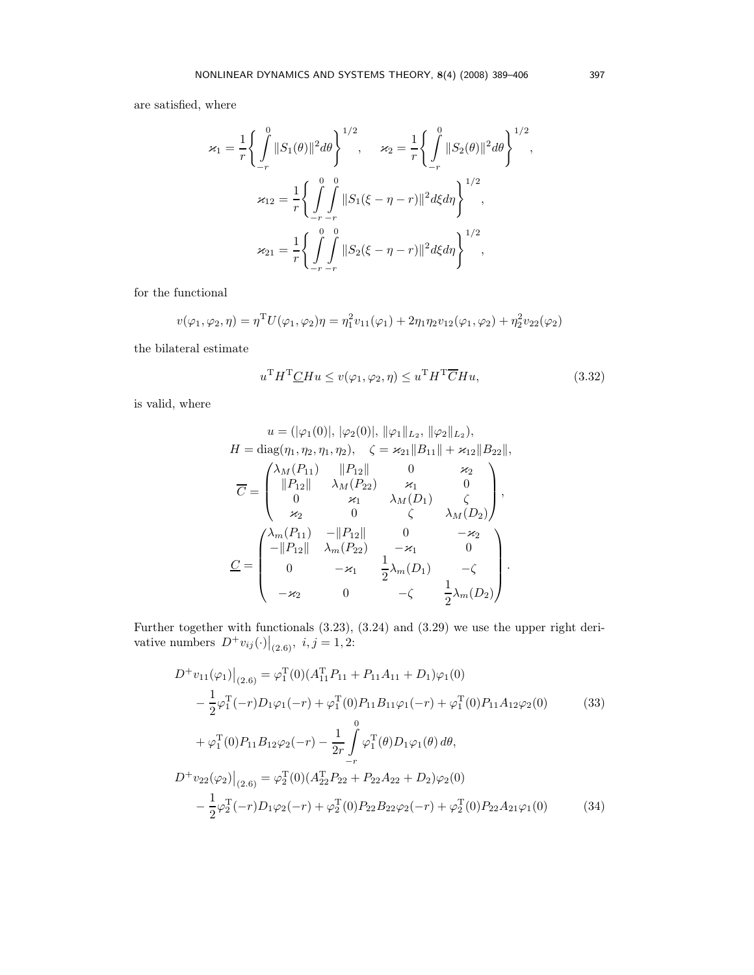are satisfied, where

$$
\varkappa_1 = \frac{1}{r} \Biggl\{ \int_{-r}^{0} \|S_1(\theta)\|^2 d\theta \Biggr\}^{1/2}, \quad \varkappa_2 = \frac{1}{r} \Biggl\{ \int_{-r}^{0} \|S_2(\theta)\|^2 d\theta \Biggr\}^{1/2},
$$

$$
\varkappa_{12} = \frac{1}{r} \Biggl\{ \int_{-r}^{0} \int_{-r}^{0} \|S_1(\xi - \eta - r)\|^2 d\xi d\eta \Biggr\}^{1/2},
$$

$$
\varkappa_{21} = \frac{1}{r} \Biggl\{ \int_{-r}^{0} \int_{-r}^{0} \|S_2(\xi - \eta - r)\|^2 d\xi d\eta \Biggr\}^{1/2},
$$

for the functional

$$
v(\varphi_1, \varphi_2, \eta) = \eta^T U(\varphi_1, \varphi_2) \eta = \eta_1^2 v_{11}(\varphi_1) + 2\eta_1 \eta_2 v_{12}(\varphi_1, \varphi_2) + \eta_2^2 v_{22}(\varphi_2)
$$

the bilateral estimate

$$
uT HT CH u \le v(\varphi_1, \varphi_2, \eta) \le uT HT CH u,
$$
\n(3.32)

is valid, where

$$
u = (|\varphi_1(0)|, |\varphi_2(0)|, |\varphi_1||_{L_2}, |\varphi_2||_{L_2}),
$$
  
\n
$$
H = \text{diag}(\eta_1, \eta_2, \eta_1, \eta_2), \quad \zeta = \varkappa_{21} ||B_{11}|| + \varkappa_{12} ||B_{22}||,
$$
  
\n
$$
\overline{C} = \begin{pmatrix} \lambda_M(P_{11}) & ||P_{12}|| & 0 & \varkappa_2 \\ ||P_{12}|| & \lambda_M(P_{22}) & \varkappa_1 & 0 \\ 0 & \varkappa_1 & \lambda_M(D_1) & \zeta \\ \varkappa_2 & 0 & \zeta & \lambda_M(D_2) \end{pmatrix},
$$
  
\n
$$
\underline{C} = \begin{pmatrix} \lambda_m(P_{11}) & -||P_{12}|| & 0 & -\varkappa_2 \\ -||P_{12}|| & \lambda_m(P_{22}) & -\varkappa_1 & 0 \\ 0 & -\varkappa_1 & \frac{1}{2}\lambda_m(D_1) & -\zeta \\ -\varkappa_2 & 0 & -\zeta & \frac{1}{2}\lambda_m(D_2) \end{pmatrix}.
$$

Further together with functionals (3.23), (3.24) and (3.29) we use the upper right derivative numbers  $D^{\dagger}v_{ij}(\cdot)|_{(2.6)}$ ,  $i, j = 1, 2$ :

$$
D^{+}v_{11}(\varphi_{1})\Big|_{(2.6)} = \varphi_{1}^{T}(0)(A_{11}^{T}P_{11} + P_{11}A_{11} + D_{1})\varphi_{1}(0)
$$
  
\n
$$
-\frac{1}{2}\varphi_{1}^{T}(-r)D_{1}\varphi_{1}(-r) + \varphi_{1}^{T}(0)P_{11}B_{11}\varphi_{1}(-r) + \varphi_{1}^{T}(0)P_{11}A_{12}\varphi_{2}(0)
$$
\n
$$
+\varphi_{1}^{T}(0)P_{11}B_{12}\varphi_{2}(-r) - \frac{1}{2r}\int_{-r}^{0}\varphi_{1}^{T}(\theta)D_{1}\varphi_{1}(\theta)d\theta,
$$
  
\n
$$
D^{+}v_{22}(\varphi_{2})\Big|_{(2.6)} = \varphi_{2}^{T}(0)(A_{22}^{T}P_{22} + P_{22}A_{22} + D_{2})\varphi_{2}(0)
$$
  
\n
$$
-\frac{1}{2}\varphi_{2}^{T}(-r)D_{1}\varphi_{2}(-r) + \varphi_{2}^{T}(0)P_{22}B_{22}\varphi_{2}(-r) + \varphi_{2}^{T}(0)P_{22}A_{21}\varphi_{1}(0)
$$
\n(34)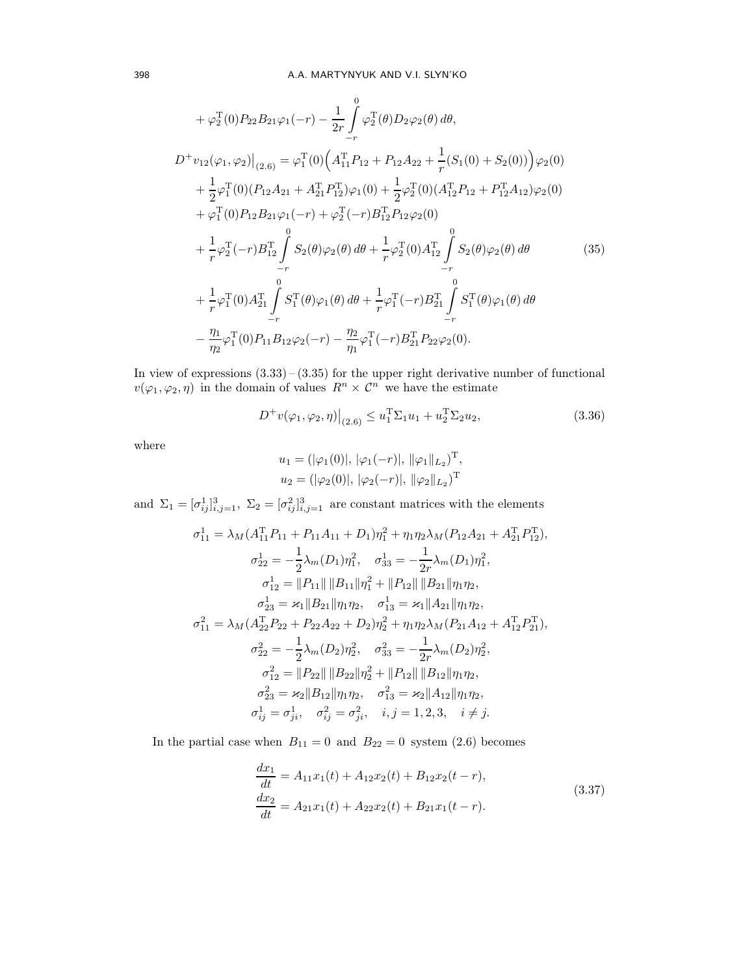$$
+\varphi_2^T(0)P_{22}B_{21}\varphi_1(-r) - \frac{1}{2r}\int_{-r}^{0}\varphi_2^T(\theta)D_2\varphi_2(\theta) d\theta,
$$
  
\n
$$
D^+v_{12}(\varphi_1,\varphi_2)|_{(2.6)} = \varphi_1^T(0)\Big(A_{11}^TP_{12} + P_{12}A_{22} + \frac{1}{r}(S_1(0) + S_2(0))\Big)\varphi_2(0)
$$
  
\n
$$
+\frac{1}{2}\varphi_1^T(0)(P_{12}A_{21} + A_{21}^TP_{12}^T)\varphi_1(0) + \frac{1}{2}\varphi_2^T(0)(A_{12}^TP_{12} + P_{12}^TA_{12})\varphi_2(0)
$$
  
\n
$$
+\varphi_1^T(0)P_{12}B_{21}\varphi_1(-r) + \varphi_2^T(-r)B_{12}^TP_{12}\varphi_2(0)
$$
  
\n
$$
+\frac{1}{r}\varphi_2^T(-r)B_{12}^T\int_{-r}^{0}S_2(\theta)\varphi_2(\theta) d\theta + \frac{1}{r}\varphi_2^T(0)A_{12}^T\int_{-r}^{0}S_2(\theta)\varphi_2(\theta) d\theta
$$
  
\n
$$
+\frac{1}{r}\varphi_1^T(0)A_{21}^T\int_{-r}^{0}S_1^T(\theta)\varphi_1(\theta) d\theta + \frac{1}{r}\varphi_1^T(-r)B_{21}^T\int_{-r}^{0}S_1^T(\theta)\varphi_1(\theta) d\theta
$$
  
\n
$$
-\frac{\eta_1}{\eta_2}\varphi_1^T(0)P_{11}B_{12}\varphi_2(-r) - \frac{\eta_2}{\eta_1}\varphi_1^T(-r)B_{21}^TP_{22}\varphi_2(0).
$$
 (35)

In view of expressions  $(3.33)$  –  $(3.35)$  for the upper right derivative number of functional  $v(\varphi_1, \varphi_2, \eta)$  in the domain of values  $R^n \times C^n$  we have the estimate

$$
D^{+}v(\varphi_{1}, \varphi_{2}, \eta)\big|_{(2.6)} \leq u_{1}^{T}\Sigma_{1}u_{1} + u_{2}^{T}\Sigma_{2}u_{2}, \tag{3.36}
$$

where

$$
u_1 = (|\varphi_1(0)|, |\varphi_1(-r)|, ||\varphi_1||_{L_2})^{\mathrm{T}},
$$
  

$$
u_2 = (|\varphi_2(0)|, |\varphi_2(-r)|, ||\varphi_2||_{L_2})^{\mathrm{T}}
$$

and  $\Sigma_1 = [\sigma_{ij}^1]_{i,j=1}^3$ ,  $\Sigma_2 = [\sigma_{ij}^2]_{i,j=1}^3$  are constant matrices with the elements

$$
\sigma_{11}^1 = \lambda_M (A_{11}^T P_{11} + P_{11} A_{11} + D_1) \eta_1^2 + \eta_1 \eta_2 \lambda_M (P_{12} A_{21} + A_{21}^T P_{12}^T),
$$
  
\n
$$
\sigma_{22}^1 = -\frac{1}{2} \lambda_m (D_1) \eta_1^2, \quad \sigma_{33}^1 = -\frac{1}{2r} \lambda_m (D_1) \eta_1^2,
$$
  
\n
$$
\sigma_{12}^1 = ||P_{11}|| ||B_{11}||\eta_1^2 + ||P_{12}|| ||B_{21}||\eta_1 \eta_2,
$$
  
\n
$$
\sigma_{23}^1 = \varkappa_1 ||B_{21}||\eta_1 \eta_2, \quad \sigma_{13}^1 = \varkappa_1 ||A_{21}||\eta_1 \eta_2,
$$
  
\n
$$
\sigma_{11}^2 = \lambda_M (A_{22}^T P_{22} + P_{22} A_{22} + D_2) \eta_2^2 + \eta_1 \eta_2 \lambda_M (P_{21} A_{12} + A_{12}^T P_{21}^T),
$$
  
\n
$$
\sigma_{22}^2 = -\frac{1}{2} \lambda_m (D_2) \eta_2^2, \quad \sigma_{33}^2 = -\frac{1}{2r} \lambda_m (D_2) \eta_2^2,
$$
  
\n
$$
\sigma_{12}^2 = ||P_{22}|| ||B_{22}||\eta_2^2 + ||P_{12}|| ||B_{12}||\eta_1 \eta_2,
$$
  
\n
$$
\sigma_{23}^2 = \varkappa_2 ||B_{12}||\eta_1 \eta_2, \quad \sigma_{13}^2 = \varkappa_2 ||A_{12}||\eta_1 \eta_2,
$$
  
\n
$$
\sigma_{ij}^1 = \sigma_{ji}^1, \quad \sigma_{ij}^2 = \sigma_{ji}^2, \quad i, j = 1, 2, 3, \quad i \neq j.
$$

In the partial case when  $B_{11} = 0$  and  $B_{22} = 0$  system (2.6) becomes

$$
\begin{aligned} \frac{dx_1}{dt} &= A_{11}x_1(t) + A_{12}x_2(t) + B_{12}x_2(t-r),\\ \frac{dx_2}{dt} &= A_{21}x_1(t) + A_{22}x_2(t) + B_{21}x_1(t-r). \end{aligned} \tag{3.37}
$$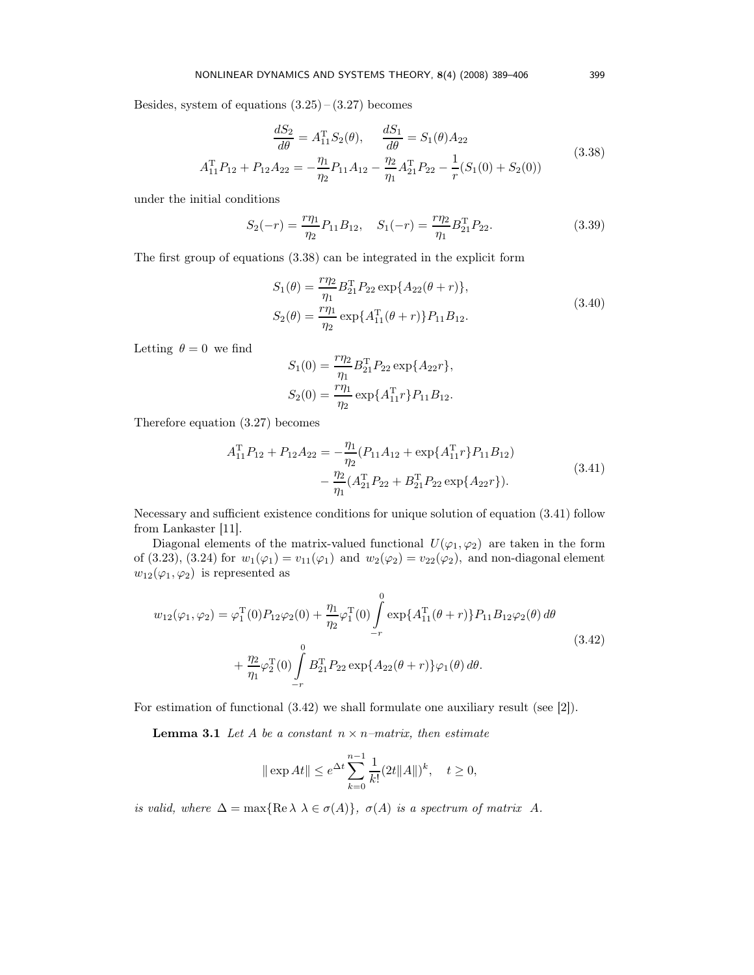Besides, system of equations  $(3.25) - (3.27)$  becomes

$$
\frac{dS_2}{d\theta} = A_{11}^{\mathrm{T}} S_2(\theta), \quad \frac{dS_1}{d\theta} = S_1(\theta) A_{22}
$$
  

$$
A_{11}^{\mathrm{T}} P_{12} + P_{12} A_{22} = -\frac{\eta_1}{\eta_2} P_{11} A_{12} - \frac{\eta_2}{\eta_1} A_{21}^{\mathrm{T}} P_{22} - \frac{1}{r} (S_1(0) + S_2(0))
$$
(3.38)

under the initial conditions

$$
S_2(-r) = \frac{r\eta_1}{\eta_2} P_{11} B_{12}, \quad S_1(-r) = \frac{r\eta_2}{\eta_1} B_{21}^T P_{22}.
$$
 (3.39)

The first group of equations (3.38) can be integrated in the explicit form

$$
S_1(\theta) = \frac{r\eta_2}{\eta_1} B_{21}^{\mathrm{T}} P_{22} \exp\{A_{22}(\theta + r)\},
$$
  
\n
$$
S_2(\theta) = \frac{r\eta_1}{\eta_2} \exp\{A_{11}^{\mathrm{T}}(\theta + r)\} P_{11} B_{12}.
$$
\n(3.40)

Letting  $\theta = 0$  we find

$$
S_1(0) = \frac{r\eta_2}{\eta_1} B_{21}^{\mathrm{T}} P_{22} \exp\{A_{22}r\},
$$
  

$$
S_2(0) = \frac{r\eta_1}{\eta_2} \exp\{A_{11}^{\mathrm{T}}r\} P_{11}B_{12}.
$$

Therefore equation (3.27) becomes

$$
A_{11}^{\mathrm{T}}P_{12} + P_{12}A_{22} = -\frac{\eta_1}{\eta_2}(P_{11}A_{12} + \exp\{A_{11}^{\mathrm{T}}r\}P_{11}B_{12})
$$

$$
-\frac{\eta_2}{\eta_1}(A_{21}^{\mathrm{T}}P_{22} + B_{21}^{\mathrm{T}}P_{22}\exp\{A_{22}r\}).
$$
(3.41)

Necessary and sufficient existence conditions for unique solution of equation (3.41) follow from Lankaster [11].

Diagonal elements of the matrix-valued functional  $U(\varphi_1, \varphi_2)$  are taken in the form of (3.23), (3.24) for  $w_1(\varphi_1) = v_{11}(\varphi_1)$  and  $w_2(\varphi_2) = v_{22}(\varphi_2)$ , and non-diagonal element  $w_{12}(\varphi_1,\varphi_2)$  is represented as

$$
w_{12}(\varphi_1, \varphi_2) = \varphi_1^{\mathrm{T}}(0) P_{12} \varphi_2(0) + \frac{\eta_1}{\eta_2} \varphi_1^{\mathrm{T}}(0) \int_{-r}^{0} \exp\{A_{11}^{\mathrm{T}}(\theta + r)\} P_{11} B_{12} \varphi_2(\theta) d\theta + \frac{\eta_2}{\eta_1} \varphi_2^{\mathrm{T}}(0) \int_{-r}^{0} B_{21}^{\mathrm{T}} P_{22} \exp\{A_{22}(\theta + r)\} \varphi_1(\theta) d\theta.
$$
\n(3.42)

For estimation of functional (3.42) we shall formulate one auxiliary result (see [2]).

**Lemma 3.1** Let A be a constant  $n \times n$ -matrix, then estimate

$$
|| \exp At|| \leq e^{\Delta t} \sum_{k=0}^{n-1} \frac{1}{k!} (2t ||A||)^k, \quad t \geq 0,
$$

is valid, where  $\Delta = \max\{ \text{Re } \lambda \lambda \in \sigma(A) \}, \sigma(A)$  is a spectrum of matrix A.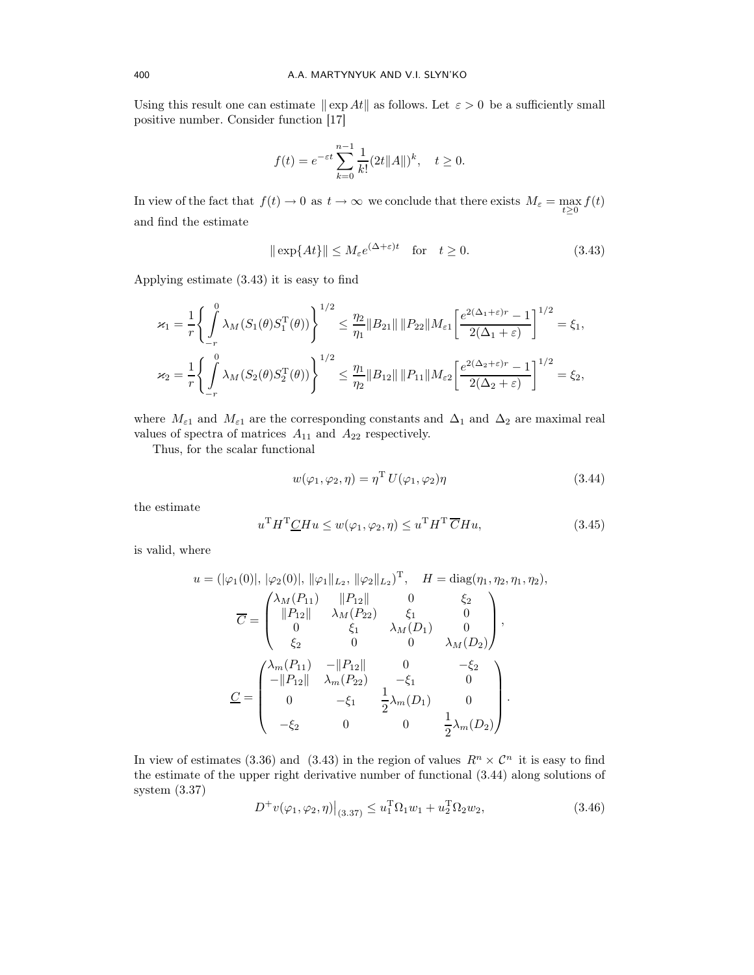Using this result one can estimate  $\|\exp At\|$  as follows. Let  $\varepsilon > 0$  be a sufficiently small positive number. Consider function [17]

$$
f(t) = e^{-\varepsilon t} \sum_{k=0}^{n-1} \frac{1}{k!} (2t ||A||)^k, \quad t \ge 0.
$$

In view of the fact that  $f(t) \to 0$  as  $t \to \infty$  we conclude that there exists  $M_{\varepsilon} = \max_{t \geq 0} f(t)$ and find the estimate

$$
\|\exp\{At\}\| \le M_{\varepsilon} e^{(\Delta + \varepsilon)t} \quad \text{for} \quad t \ge 0. \tag{3.43}
$$

Applying estimate (3.43) it is easy to find

$$
\varkappa_1 = \frac{1}{r} \Biggl\{ \int_{-r}^{0} \lambda_M(S_1(\theta)S_1^T(\theta)) \Biggr\}^{1/2} \leq \frac{\eta_2}{\eta_1} \|B_{21}\| \|P_{22}\| M_{\varepsilon 1} \Biggl[ \frac{e^{2(\Delta_1 + \varepsilon)r} - 1}{2(\Delta_1 + \varepsilon)} \Biggr]^{1/2} = \xi_1,
$$
  

$$
\varkappa_2 = \frac{1}{r} \Biggl\{ \int_{-r}^{0} \lambda_M(S_2(\theta)S_2^T(\theta)) \Biggr\}^{1/2} \leq \frac{\eta_1}{\eta_2} \|B_{12}\| \|P_{11}\| M_{\varepsilon 2} \Biggl[ \frac{e^{2(\Delta_2 + \varepsilon)r} - 1}{2(\Delta_2 + \varepsilon)} \Biggr]^{1/2} = \xi_2,
$$

where  $M_{\varepsilon 1}$  and  $M_{\varepsilon 1}$  are the corresponding constants and  $\Delta_1$  and  $\Delta_2$  are maximal real values of spectra of matrices  $A_{11}$  and  $A_{22}$  respectively.

Thus, for the scalar functional

$$
w(\varphi_1, \varphi_2, \eta) = \eta^{\mathrm{T}} U(\varphi_1, \varphi_2) \eta \tag{3.44}
$$

the estimate

$$
uT HT CH u \le w(\varphi_1, \varphi_2, \eta) \le uT HT CH u,
$$
\n(3.45)

is valid, where

$$
u = (|\varphi_1(0)|, |\varphi_2(0)|, ||\varphi_1||_{L_2}, ||\varphi_2||_{L_2})^{\mathrm{T}}, \quad H = \text{diag}(\eta_1, \eta_2, \eta_1, \eta_2),
$$
  

$$
\overline{C} = \begin{pmatrix} \lambda_M(P_{11}) & ||P_{12}|| & 0 & \xi_2 \\ ||P_{12}|| & \lambda_M(P_{22}) & \xi_1 & 0 \\ 0 & \xi_1 & \lambda_M(D_1) & 0 \\ \xi_2 & 0 & 0 & \lambda_M(D_2) \end{pmatrix},
$$
  

$$
\underline{C} = \begin{pmatrix} \lambda_m(P_{11}) & -||P_{12}|| & 0 & -\xi_2 \\ -||P_{12}|| & \lambda_m(P_{22}) & -\xi_1 & 0 \\ 0 & -\xi_1 & \frac{1}{2}\lambda_m(D_1) & 0 \\ -\xi_2 & 0 & 0 & \frac{1}{2}\lambda_m(D_2) \end{pmatrix}.
$$

In view of estimates (3.36) and (3.43) in the region of values  $R^n \times \mathcal{C}^n$  it is easy to find the estimate of the upper right derivative number of functional (3.44) along solutions of system (3.37)

$$
D^{+}v(\varphi_{1}, \varphi_{2}, \eta)\big|_{(3.37)} \leq u_{1}^{T}\Omega_{1}w_{1} + u_{2}^{T}\Omega_{2}w_{2}, \tag{3.46}
$$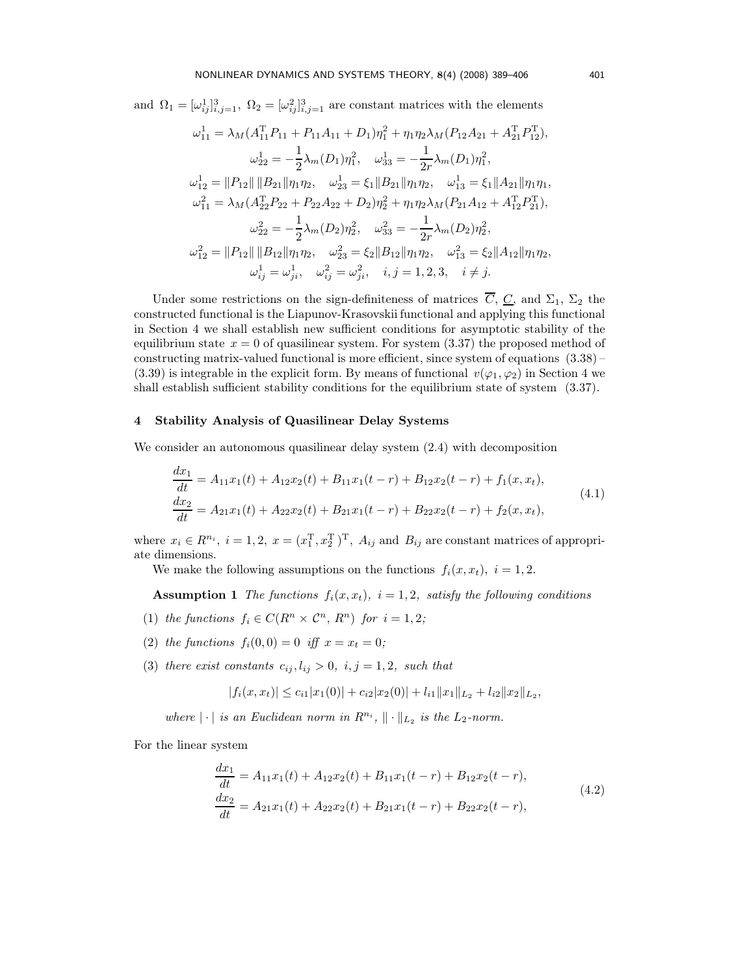and  $\Omega_1 = [\omega_{ij}^1]_{i,j=1}^3$ ,  $\Omega_2 = [\omega_{ij}^2]_{i,j=1}^3$  are constant matrices with the elements

$$
\omega_{11}^1 = \lambda_M (A_{11}^T P_{11} + P_{11} A_{11} + D_1) \eta_1^2 + \eta_1 \eta_2 \lambda_M (P_{12} A_{21} + A_{21}^T P_{12}^T),
$$
  
\n
$$
\omega_{22}^1 = -\frac{1}{2} \lambda_m (D_1) \eta_1^2, \quad \omega_{33}^1 = -\frac{1}{2r} \lambda_m (D_1) \eta_1^2,
$$
  
\n
$$
\omega_{12}^1 = ||P_{12}|| ||B_{21}|| \eta_1 \eta_2, \quad \omega_{23}^1 = \xi_1 ||B_{21}|| \eta_1 \eta_2, \quad \omega_{13}^1 = \xi_1 ||A_{21}|| \eta_1 \eta_1,
$$
  
\n
$$
\omega_{11}^2 = \lambda_M (A_{22}^T P_{22} + P_{22} A_{22} + D_2) \eta_2^2 + \eta_1 \eta_2 \lambda_M (P_{21} A_{12} + A_{12}^T P_{21}^T),
$$
  
\n
$$
\omega_{22}^2 = -\frac{1}{2} \lambda_m (D_2) \eta_2^2, \quad \omega_{33}^2 = -\frac{1}{2r} \lambda_m (D_2) \eta_2^2,
$$
  
\n
$$
\omega_{12}^2 = ||P_{12}|| ||B_{12}|| \eta_1 \eta_2, \quad \omega_{23}^2 = \xi_2 ||B_{12}|| \eta_1 \eta_2, \quad \omega_{13}^2 = \xi_2 ||A_{12}|| \eta_1 \eta_2,
$$
  
\n
$$
\omega_{ij}^1 = \omega_{ji}^1, \quad \omega_{ij}^2 = \omega_{ji}^2, \quad i, j = 1, 2, 3, \quad i \neq j.
$$

Under some restrictions on the sign-definiteness of matrices  $\overline{C}$ ,  $\underline{C}$ , and  $\Sigma_1$ ,  $\Sigma_2$  the constructed functional is the Liapunov-Krasovskii functional and applying this functional in Section 4 we shall establish new sufficient conditions for asymptotic stability of the equilibrium state  $x = 0$  of quasilinear system. For system  $(3.37)$  the proposed method of constructing matrix-valued functional is more efficient, since system of equations (3.38) – (3.39) is integrable in the explicit form. By means of functional  $v(\varphi_1, \varphi_2)$  in Section 4 we shall establish sufficient stability conditions for the equilibrium state of system (3.37).

#### 4 Stability Analysis of Quasilinear Delay Systems

We consider an autonomous quasilinear delay system (2.4) with decomposition

$$
\frac{dx_1}{dt} = A_{11}x_1(t) + A_{12}x_2(t) + B_{11}x_1(t-r) + B_{12}x_2(t-r) + f_1(x, x_t),
$$
  
\n
$$
\frac{dx_2}{dt} = A_{21}x_1(t) + A_{22}x_2(t) + B_{21}x_1(t-r) + B_{22}x_2(t-r) + f_2(x, x_t),
$$
\n(4.1)

where  $x_i \in R^{n_i}$ ,  $i = 1, 2$ ,  $x = (x_1^T, x_2^T)^T$ ,  $A_{ij}$  and  $B_{ij}$  are constant matrices of appropriate dimensions.

We make the following assumptions on the functions  $f_i(x, x_t)$ ,  $i = 1, 2$ .

**Assumption 1** The functions  $f_i(x, x_t)$ ,  $i = 1, 2$ , satisfy the following conditions

- (1) the functions  $f_i \in C(R^n \times C^n, R^n)$  for  $i = 1, 2;$
- (2) the functions  $f_i(0,0) = 0$  iff  $x = x_t = 0$ ;
- (3) there exist constants  $c_{ij}, l_{ij} > 0$ ,  $i, j = 1, 2$ , such that

$$
|f_i(x, x_t)| \leq c_{i1}|x_1(0)| + c_{i2}|x_2(0)| + l_{i1}||x_1||_{L_2} + l_{i2}||x_2||_{L_2},
$$

where  $|\cdot|$  is an Euclidean norm in  $R^{n_i}$ ,  $\|\cdot\|_{L_2}$  is the  $L_2$ -norm.

For the linear system

$$
\begin{aligned} \frac{dx_1}{dt} &= A_{11}x_1(t) + A_{12}x_2(t) + B_{11}x_1(t-r) + B_{12}x_2(t-r),\\ \frac{dx_2}{dt} &= A_{21}x_1(t) + A_{22}x_2(t) + B_{21}x_1(t-r) + B_{22}x_2(t-r), \end{aligned} \tag{4.2}
$$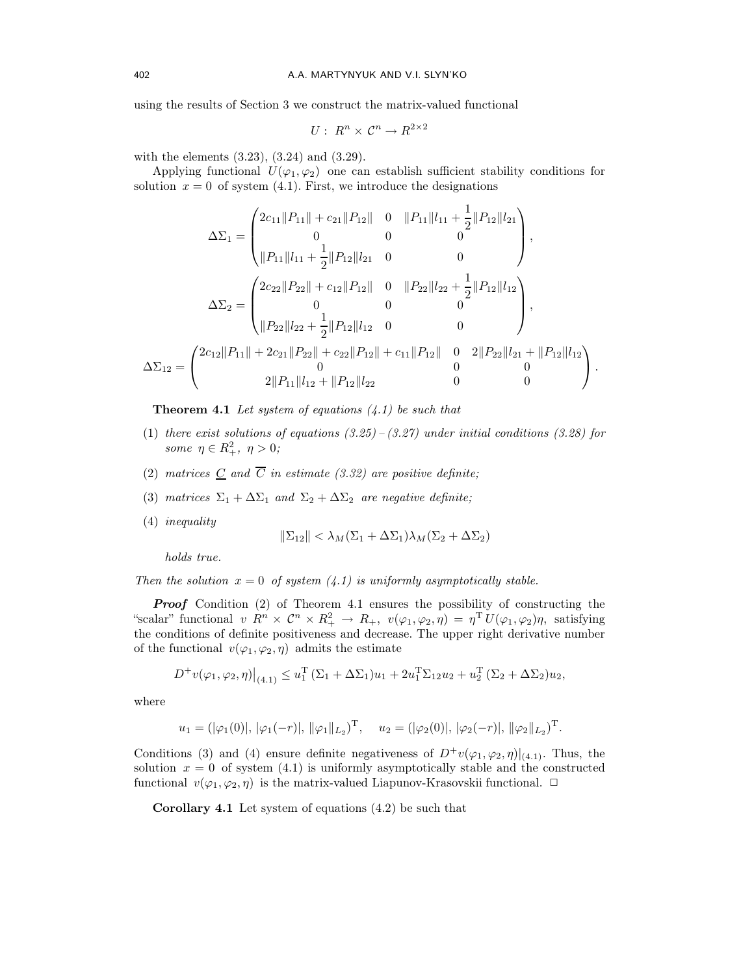using the results of Section 3 we construct the matrix-valued functional

$$
U: R^n \times C^n \to R^{2 \times 2}
$$

with the elements (3.23), (3.24) and (3.29).

Applying functional  $U(\varphi_1, \varphi_2)$  one can establish sufficient stability conditions for solution  $x = 0$  of system (4.1). First, we introduce the designations

$$
\Delta \Sigma_1 = \begin{pmatrix} 2c_{11} ||P_{11}|| + c_{21} ||P_{12}|| & 0 & ||P_{11}||l_{11} + \frac{1}{2} ||P_{12}||l_{21} \\ 0 & 0 & 0 \\ ||P_{11}||l_{11} + \frac{1}{2} ||P_{12}||l_{21} & 0 & 0 \end{pmatrix},
$$
  

$$
\Delta \Sigma_2 = \begin{pmatrix} 2c_{22} ||P_{22}|| + c_{12} ||P_{12}|| & 0 & ||P_{22}||l_{22} + \frac{1}{2} ||P_{12}||l_{12} \\ 0 & 0 & 0 \\ ||P_{22}||l_{22} + \frac{1}{2} ||P_{12}||l_{12} & 0 & 0 \end{pmatrix},
$$
  

$$
\Delta \Sigma_{12} = \begin{pmatrix} 2c_{12} ||P_{11}|| + 2c_{21} ||P_{22}|| + c_{22} ||P_{12}|| + c_{11} ||P_{12}|| & 0 & 2 ||P_{22}||l_{21} + ||P_{12}||l_{12} \\ 0 & 0 & 0 \\ 2 ||P_{11}||l_{12} + ||P_{12}||l_{22} & 0 & 0 \end{pmatrix}.
$$

**Theorem 4.1** Let system of equations  $(4.1)$  be such that

- (1) there exist solutions of equations  $(3.25) (3.27)$  under initial conditions  $(3.28)$  for some  $\eta \in R_+^2$ ,  $\eta > 0$ ;
- (2) matrices  $C$  and  $\overline{C}$  in estimate (3.32) are positive definite;
- (3) matrices  $\Sigma_1 + \Delta \Sigma_1$  and  $\Sigma_2 + \Delta \Sigma_2$  are negative definite;
- (4) inequality

$$
\|\Sigma_{12}\| < \lambda_M(\Sigma_1 + \Delta\Sigma_1)\lambda_M(\Sigma_2 + \Delta\Sigma_2)
$$

holds true.

Then the solution  $x = 0$  of system  $(4.1)$  is uniformly asymptotically stable.

**Proof** Condition (2) of Theorem 4.1 ensures the possibility of constructing the "scalar" functional  $v \, R^n \times C^n \times R_+^2 \to R_+$ ,  $v(\varphi_1, \varphi_2, \eta) = \eta^{\mathrm{T}} U(\varphi_1, \varphi_2) \eta$ , satisfying the conditions of definite positiveness and decrease. The upper right derivative number of the functional  $v(\varphi_1, \varphi_2, \eta)$  admits the estimate

$$
D^{+}v(\varphi_{1},\varphi_{2},\eta)\big|_{(4.1)} \leq u_{1}^{T}(\Sigma_{1}+\Delta\Sigma_{1})u_{1} + 2u_{1}^{T}\Sigma_{12}u_{2} + u_{2}^{T}(\Sigma_{2}+\Delta\Sigma_{2})u_{2},
$$

where

$$
u_1 = (|\varphi_1(0)|, |\varphi_1(-r)|, ||\varphi_1||_{L_2})^{\mathrm{T}}, \quad u_2 = (|\varphi_2(0)|, |\varphi_2(-r)|, ||\varphi_2||_{L_2})^{\mathrm{T}}.
$$

Conditions (3) and (4) ensure definite negativeness of  $D^+v(\varphi_1,\varphi_2,\eta)|_{(4.1)}$ . Thus, the solution  $x = 0$  of system (4.1) is uniformly asymptotically stable and the constructed functional  $v(\varphi_1, \varphi_2, \eta)$  is the matrix-valued Liapunov-Krasovskii functional.  $\Box$ 

Corollary 4.1 Let system of equations (4.2) be such that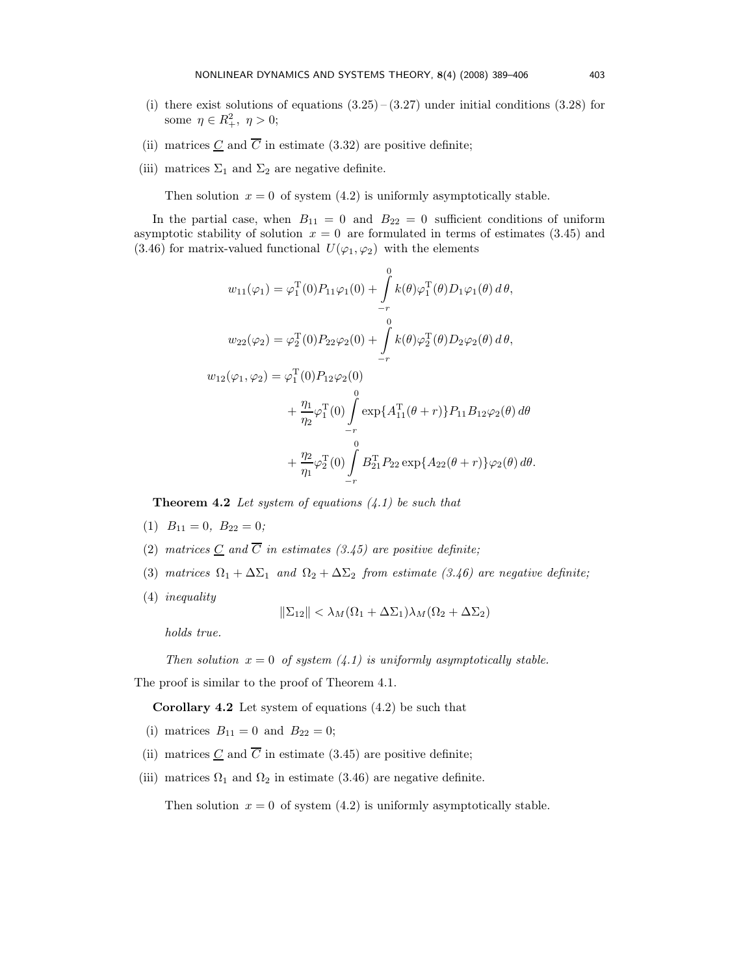- (i) there exist solutions of equations  $(3.25)$   $(3.27)$  under initial conditions  $(3.28)$  for some  $\eta \in R_+^2$ ,  $\eta > 0$ ;
- (ii) matrices  $\underline{C}$  and  $\overline{C}$  in estimate (3.32) are positive definite;
- (iii) matrices  $\Sigma_1$  and  $\Sigma_2$  are negative definite.

Then solution  $x = 0$  of system (4.2) is uniformly asymptotically stable.

In the partial case, when  $B_{11} = 0$  and  $B_{22} = 0$  sufficient conditions of uniform asymptotic stability of solution  $x = 0$  are formulated in terms of estimates (3.45) and (3.46) for matrix-valued functional  $U(\varphi_1, \varphi_2)$  with the elements

$$
w_{11}(\varphi_1) = \varphi_1^{\mathrm{T}}(0)P_{11}\varphi_1(0) + \int_{-r}^{0} k(\theta)\varphi_1^{\mathrm{T}}(\theta)D_1\varphi_1(\theta) d\theta,
$$
  

$$
w_{22}(\varphi_2) = \varphi_2^{\mathrm{T}}(0)P_{22}\varphi_2(0) + \int_{-r}^{0} k(\theta)\varphi_2^{\mathrm{T}}(\theta)D_2\varphi_2(\theta) d\theta,
$$
  

$$
w_{12}(\varphi_1, \varphi_2) = \varphi_1^{\mathrm{T}}(0)P_{12}\varphi_2(0)
$$
  

$$
+ \frac{\eta_1}{\eta_2}\varphi_1^{\mathrm{T}}(0) \int_{-r}^{0} \exp\{A_{11}^{\mathrm{T}}(\theta+r)\}P_{11}B_{12}\varphi_2(\theta) d\theta
$$
  

$$
+ \frac{\eta_2}{\eta_1}\varphi_2^{\mathrm{T}}(0) \int_{-r}^{0} B_{21}^{\mathrm{T}}P_{22} \exp\{A_{22}(\theta+r)\}\varphi_2(\theta) d\theta.
$$

**Theorem 4.2** Let system of equations  $(4.1)$  be such that

- (1)  $B_{11} = 0$ ,  $B_{22} = 0$ ;
- (2) matrices C and  $\overline{C}$  in estimates (3.45) are positive definite;
- (3) matrices  $\Omega_1 + \Delta \Sigma_1$  and  $\Omega_2 + \Delta \Sigma_2$  from estimate (3.46) are negative definite;
- (4) inequality

$$
\|\Sigma_{12}\| < \lambda_M(\Omega_1 + \Delta\Sigma_1)\lambda_M(\Omega_2 + \Delta\Sigma_2)
$$

holds true.

Then solution  $x = 0$  of system  $(4.1)$  is uniformly asymptotically stable.

The proof is similar to the proof of Theorem 4.1.

Corollary 4.2 Let system of equations (4.2) be such that

- (i) matrices  $B_{11} = 0$  and  $B_{22} = 0$ ;
- (ii) matrices  $C$  and  $\overline{C}$  in estimate (3.45) are positive definite;
- (iii) matrices  $\Omega_1$  and  $\Omega_2$  in estimate (3.46) are negative definite.

Then solution  $x = 0$  of system (4.2) is uniformly asymptotically stable.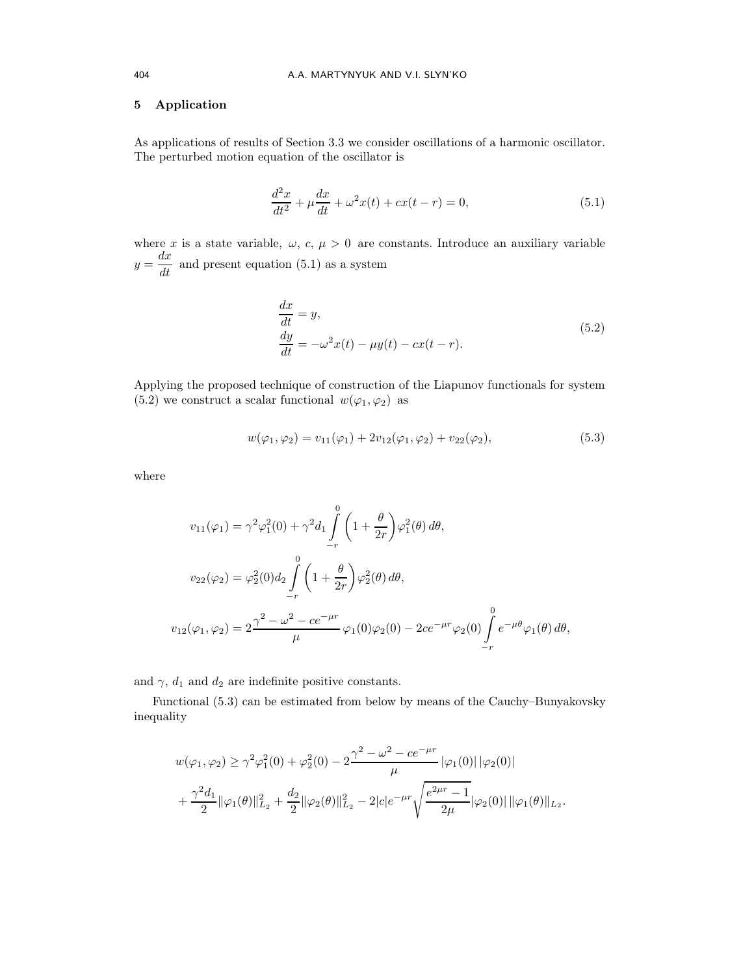## 5 Application

As applications of results of Section 3.3 we consider oscillations of a harmonic oscillator. The perturbed motion equation of the oscillator is

$$
\frac{d^2x}{dt^2} + \mu \frac{dx}{dt} + \omega^2 x(t) + cx(t - r) = 0,
$$
\n(5.1)

where x is a state variable,  $\omega$ ,  $c, \mu > 0$  are constants. Introduce an auxiliary variable  $y = \frac{dx}{dt}$  and present equation (5.1) as a system

$$
\begin{aligned} \frac{dx}{dt} &= y, \\ \frac{dy}{dt} &= -\omega^2 x(t) - \mu y(t) - cx(t - r). \end{aligned} \tag{5.2}
$$

Applying the proposed technique of construction of the Liapunov functionals for system (5.2) we construct a scalar functional  $w(\varphi_1, \varphi_2)$  as

$$
w(\varphi_1, \varphi_2) = v_{11}(\varphi_1) + 2v_{12}(\varphi_1, \varphi_2) + v_{22}(\varphi_2), \tag{5.3}
$$

where

$$
v_{11}(\varphi_1) = \gamma^2 \varphi_1^2(0) + \gamma^2 d_1 \int_{-r}^0 \left(1 + \frac{\theta}{2r}\right) \varphi_1^2(\theta) d\theta,
$$
  

$$
v_{22}(\varphi_2) = \varphi_2^2(0) d_2 \int_{-r}^0 \left(1 + \frac{\theta}{2r}\right) \varphi_2^2(\theta) d\theta,
$$
  

$$
v_{12}(\varphi_1, \varphi_2) = 2 \frac{\gamma^2 - \omega^2 - ce^{-\mu r}}{\mu} \varphi_1(0) \varphi_2(0) - 2ce^{-\mu r} \varphi_2(0) \int_{-r}^0 e^{-\mu \theta} \varphi_1(\theta) d\theta,
$$

and  $\gamma$ ,  $d_1$  and  $d_2$  are indefinite positive constants.

Functional (5.3) can be estimated from below by means of the Cauchy–Bunyakovsky inequality

$$
w(\varphi_1, \varphi_2) \ge \gamma^2 \varphi_1^2(0) + \varphi_2^2(0) - 2 \frac{\gamma^2 - \omega^2 - ce^{-\mu r}}{\mu} |\varphi_1(0)| |\varphi_2(0)|
$$
  
+ 
$$
\frac{\gamma^2 d_1}{2} ||\varphi_1(\theta)||_{L_2}^2 + \frac{d_2}{2} ||\varphi_2(\theta)||_{L_2}^2 - 2|c|e^{-\mu r} \sqrt{\frac{e^{2\mu r} - 1}{2\mu}} |\varphi_2(0)| ||\varphi_1(\theta)||_{L_2}.
$$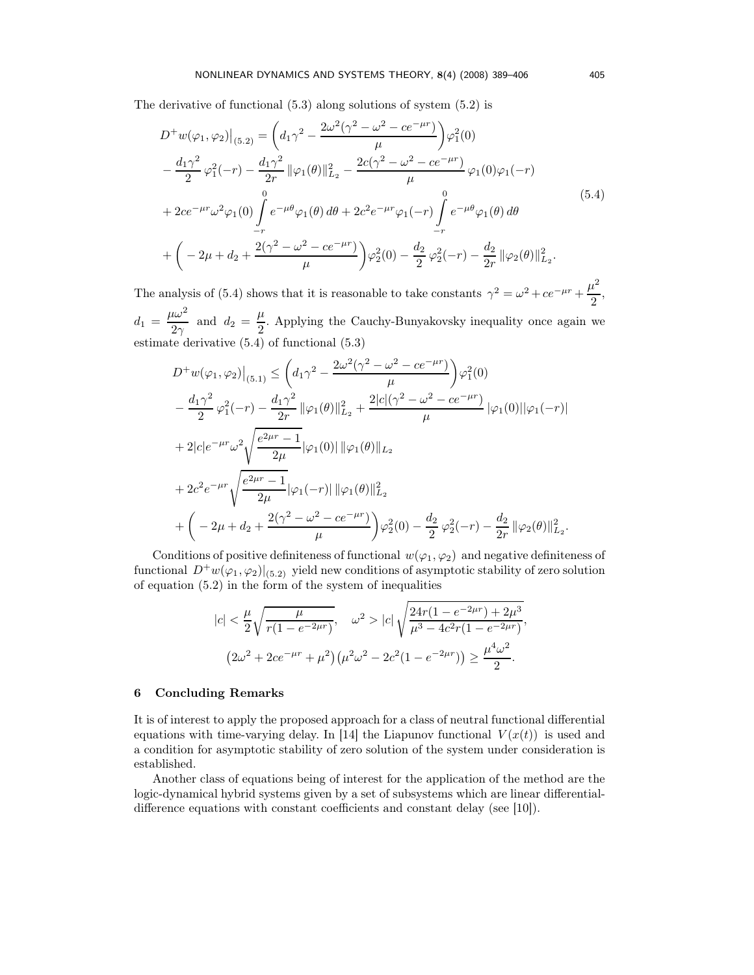The derivative of functional (5.3) along solutions of system (5.2) is

$$
D^+w(\varphi_1, \varphi_2)|_{(5,2)} = \left(d_1\gamma^2 - \frac{2\omega^2(\gamma^2 - \omega^2 - ce^{-\mu r})}{\mu}\right)\varphi_1^2(0)
$$
  

$$
-\frac{d_1\gamma^2}{2}\varphi_1^2(-r) - \frac{d_1\gamma^2}{2r}||\varphi_1(\theta)||_{L_2}^2 - \frac{2c(\gamma^2 - \omega^2 - ce^{-\mu r})}{\mu}\varphi_1(0)\varphi_1(-r)
$$
  

$$
+ 2ce^{-\mu r}\omega^2\varphi_1(0)\int_{-r}^{0}e^{-\mu\theta}\varphi_1(\theta)\,d\theta + 2c^2e^{-\mu r}\varphi_1(-r)\int_{-r}^{0}e^{-\mu\theta}\varphi_1(\theta)\,d\theta
$$
  

$$
+\left(-2\mu + d_2 + \frac{2(\gamma^2 - \omega^2 - ce^{-\mu r})}{\mu}\right)\varphi_2^2(0) - \frac{d_2}{2}\varphi_2^2(-r) - \frac{d_2}{2r}||\varphi_2(\theta)||_{L_2}^2.
$$
 (5.4)

The analysis of (5.4) shows that it is reasonable to take constants  $\gamma^2 = \omega^2 + ce^{-\mu r} + \frac{\mu^2}{2}$  $\frac{x}{2}$  $d_1 = \frac{\mu \omega^2}{2\mu}$  $rac{d\omega^2}{2\gamma}$  and  $d_2 = \frac{\mu}{2}$  $\frac{\mu}{2}$ . Applying the Cauchy-Bunyakovsky inequality once again we estimate derivative (5.4) of functional (5.3)

$$
D^+w(\varphi_1, \varphi_2)|_{(5,1)} \leq \left(d_1\gamma^2 - \frac{2\omega^2(\gamma^2 - \omega^2 - ce^{-\mu r})}{\mu}\right)\varphi_1^2(0)
$$
  

$$
-\frac{d_1\gamma^2}{2}\varphi_1^2(-r) - \frac{d_1\gamma^2}{2r} \|\varphi_1(\theta)\|_{L_2}^2 + \frac{2|c|(\gamma^2 - \omega^2 - ce^{-\mu r})}{\mu} \|\varphi_1(0)\| \|\varphi_1(-r)\|
$$
  

$$
+ 2|c|e^{-\mu r}\omega^2 \sqrt{\frac{e^{2\mu r} - 1}{2\mu}} \|\varphi_1(0)\| \|\varphi_1(\theta)\|_{L_2}
$$
  

$$
+ 2c^2 e^{-\mu r} \sqrt{\frac{e^{2\mu r} - 1}{2\mu}} \|\varphi_1(-r)\| \|\varphi_1(\theta)\|_{L_2}^2
$$
  

$$
+ \left(-2\mu + d_2 + \frac{2(\gamma^2 - \omega^2 - ce^{-\mu r})}{\mu}\right)\varphi_2^2(0) - \frac{d_2}{2}\varphi_2^2(-r) - \frac{d_2}{2r} \|\varphi_2(\theta)\|_{L_2}^2.
$$

Conditions of positive definiteness of functional  $w(\varphi_1, \varphi_2)$  and negative definiteness of functional  $D^+w(\varphi_1,\varphi_2)|_{(5,2)}$  yield new conditions of asymptotic stability of zero solution of equation (5.2) in the form of the system of inequalities

$$
|c| < \frac{\mu}{2} \sqrt{\frac{\mu}{r(1 - e^{-2\mu r})}}, \quad \omega^2 > |c| \sqrt{\frac{24r(1 - e^{-2\mu r}) + 2\mu^3}{\mu^3 - 4c^2r(1 - e^{-2\mu r})}},
$$
\n
$$
(2\omega^2 + 2ce^{-\mu r} + \mu^2) \left(\mu^2 \omega^2 - 2c^2(1 - e^{-2\mu r})\right) \ge \frac{\mu^4 \omega^2}{2}.
$$

#### 6 Concluding Remarks

It is of interest to apply the proposed approach for a class of neutral functional differential equations with time-varying delay. In [14] the Liapunov functional  $V(x(t))$  is used and a condition for asymptotic stability of zero solution of the system under consideration is established.

Another class of equations being of interest for the application of the method are the logic-dynamical hybrid systems given by a set of subsystems which are linear differentialdifference equations with constant coefficients and constant delay (see [10]).